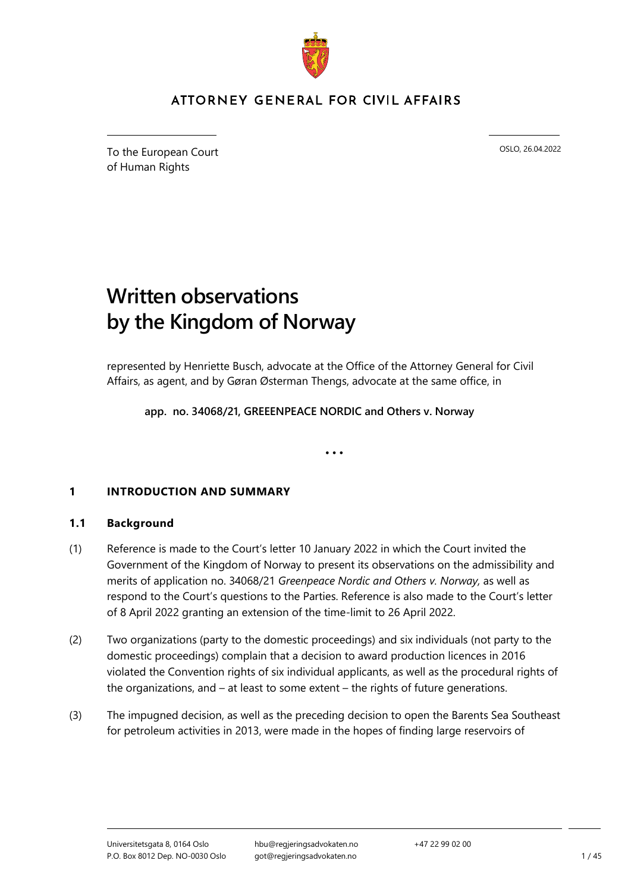

## ATTORNEY GENERAL FOR CIVIL AFFAIRS

To the European Court of Human Rights

OSLO, 26.04.2022

# **Written observations by the Kingdom of Norway**

represented by Henriette Busch, advocate at the Office of the Attorney General for Civil Affairs, as agent, and by Gøran Østerman Thengs, advocate at the same office, in

**app. no. 34068/21, GREEENPEACE NORDIC and Others v. Norway**

• • •

### **1 INTRODUCTION AND SUMMARY**

#### **1.1 Background**

- (1) Reference is made to the Court's letter 10 January 2022 in which the Court invited the Government of the Kingdom of Norway to present its observations on the admissibility and merits of application no. 34068/21 *Greenpeace Nordic and Others v. Norway,* as well as respond to the Court's questions to the Parties. Reference is also made to the Court's letter of 8 April 2022 granting an extension of the time-limit to 26 April 2022.
- (2) Two organizations (party to the domestic proceedings) and six individuals (not party to the domestic proceedings) complain that a decision to award production licences in 2016 violated the Convention rights of six individual applicants, as well as the procedural rights of the organizations, and – at least to some extent – the rights of future generations.
- (3) The impugned decision, as well as the preceding decision to open the Barents Sea Southeast for petroleum activities in 2013, were made in the hopes of finding large reservoirs of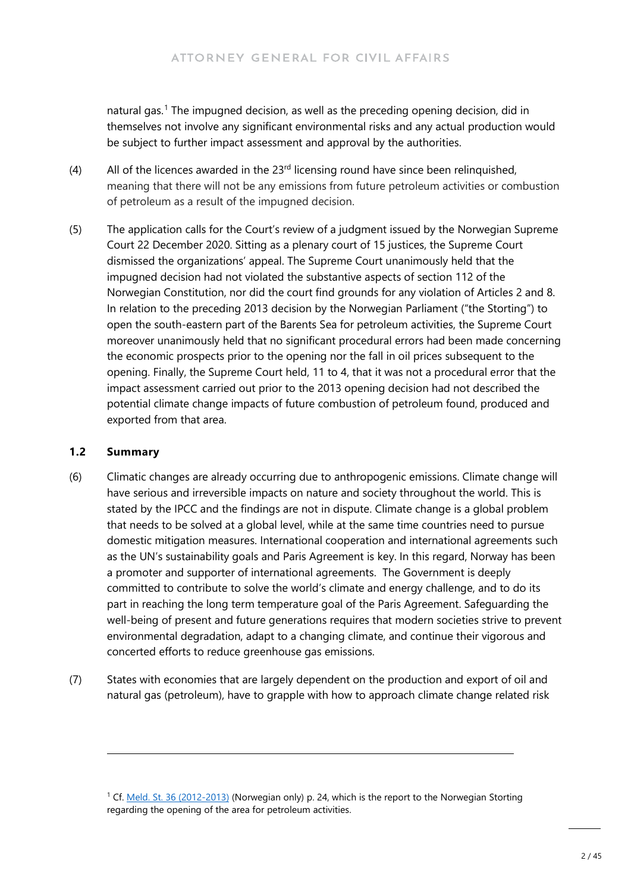natural gas.<sup>[1](#page-1-0)</sup> The impugned decision, as well as the preceding opening decision, did in themselves not involve any significant environmental risks and any actual production would be subject to further impact assessment and approval by the authorities.

- (4) All of the licences awarded in the  $23<sup>rd</sup>$  licensing round have since been relinquished, meaning that there will not be any emissions from future petroleum activities or combustion of petroleum as a result of the impugned decision.
- (5) The application calls for the Court's review of a judgment issued by the Norwegian Supreme Court 22 December 2020. Sitting as a plenary court of 15 justices, the Supreme Court dismissed the organizations' appeal. The Supreme Court unanimously held that the impugned decision had not violated the substantive aspects of section 112 of the Norwegian Constitution, nor did the court find grounds for any violation of Articles 2 and 8. In relation to the preceding 2013 decision by the Norwegian Parliament ("the Storting") to open the south-eastern part of the Barents Sea for petroleum activities, the Supreme Court moreover unanimously held that no significant procedural errors had been made concerning the economic prospects prior to the opening nor the fall in oil prices subsequent to the opening. Finally, the Supreme Court held, 11 to 4, that it was not a procedural error that the impact assessment carried out prior to the 2013 opening decision had not described the potential climate change impacts of future combustion of petroleum found, produced and exported from that area.

#### **1.2 Summary**

- (6) Climatic changes are already occurring due to anthropogenic emissions. Climate change will have serious and irreversible impacts on nature and society throughout the world. This is stated by the IPCC and the findings are not in dispute. Climate change is a global problem that needs to be solved at a global level, while at the same time countries need to pursue domestic mitigation measures. International cooperation and international agreements such as the UN's sustainability goals and Paris Agreement is key. In this regard, Norway has been a promoter and supporter of international agreements. The Government is deeply committed to contribute to solve the world's climate and energy challenge, and to do its part in reaching the long term temperature goal of the Paris Agreement. Safeguarding the well-being of present and future generations requires that modern societies strive to prevent environmental degradation, adapt to a changing climate, and continue their vigorous and concerted efforts to reduce greenhouse gas emissions.
- (7) States with economies that are largely dependent on the production and export of oil and natural gas (petroleum), have to grapple with how to approach climate change related risk

<span id="page-1-0"></span><sup>1</sup> Cf[. Meld. St. 36 \(2012-2013\)](https://www.regjeringen.no/no/dokumenter/meld-st-36-20122013/id725083/?ch=1) (Norwegian only) p. 24, which is the report to the Norwegian Storting regarding the opening of the area for petroleum activities.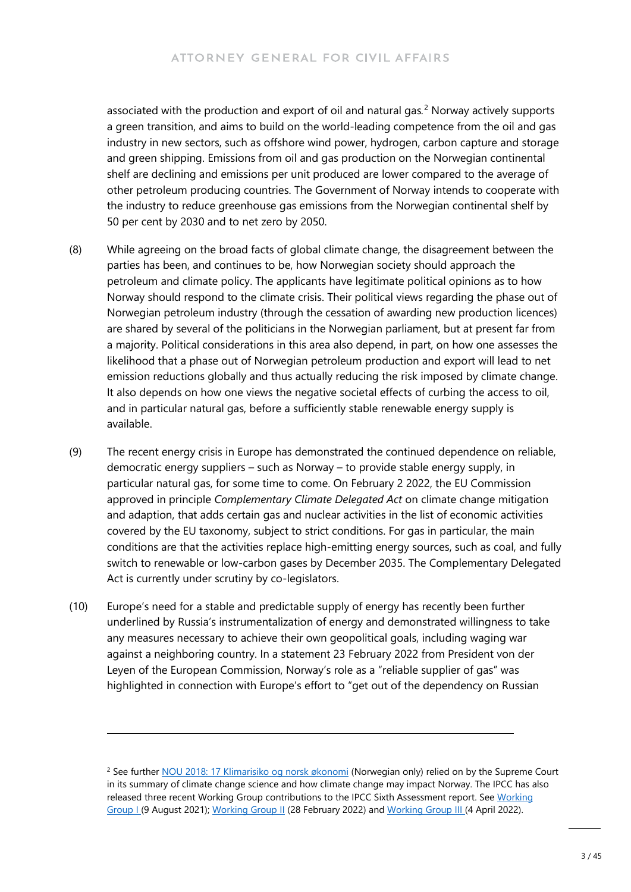associated with the production and export of oil and natural gas*.* [2](#page-2-0) Norway actively supports a green transition, and aims to build on the world-leading competence from the oil and gas industry in new sectors, such as offshore wind power, hydrogen, carbon capture and storage and green shipping. Emissions from oil and gas production on the Norwegian continental shelf are declining and emissions per unit produced are lower compared to the average of other petroleum producing countries. The Government of Norway intends to cooperate with the industry to reduce greenhouse gas emissions from the Norwegian continental shelf by 50 per cent by 2030 and to net zero by 2050.

- (8) While agreeing on the broad facts of global climate change, the disagreement between the parties has been, and continues to be, how Norwegian society should approach the petroleum and climate policy. The applicants have legitimate political opinions as to how Norway should respond to the climate crisis. Their political views regarding the phase out of Norwegian petroleum industry (through the cessation of awarding new production licences) are shared by several of the politicians in the Norwegian parliament, but at present far from a majority. Political considerations in this area also depend, in part, on how one assesses the likelihood that a phase out of Norwegian petroleum production and export will lead to net emission reductions globally and thus actually reducing the risk imposed by climate change. It also depends on how one views the negative societal effects of curbing the access to oil, and in particular natural gas, before a sufficiently stable renewable energy supply is available.
- (9) The recent energy crisis in Europe has demonstrated the continued dependence on reliable, democratic energy suppliers – such as Norway – to provide stable energy supply, in particular natural gas, for some time to come. On February 2 2022, the EU Commission approved in principle *Complementary Climate Delegated Act* on climate change mitigation and adaption, that adds certain gas and nuclear activities in the list of economic activities covered by the EU taxonomy, subject to strict conditions. For gas in particular, the main conditions are that the activities replace high-emitting energy sources, such as coal, and fully switch to renewable or low-carbon gases by December 2035. The Complementary Delegated Act is currently under scrutiny by co-legislators.
- (10) Europe's need for a stable and predictable supply of energy has recently been further underlined by Russia's instrumentalization of energy and demonstrated willingness to take any measures necessary to achieve their own geopolitical goals, including waging war against a neighboring country. In a statement 23 February 2022 from President von der Leyen of the European Commission, Norway's role as a "reliable supplier of gas" was highlighted in connection with Europe's effort to "get out of the dependency on Russian

<span id="page-2-0"></span><sup>&</sup>lt;sup>2</sup> See further [NOU 2018: 17 Klimarisiko og norsk økonomi](https://www.regjeringen.no/contentassets/c5119502a03145278c33b72d9060fbc9/no/pdfs/nou201820180017000dddpdfs.pdf) (Norwegian only) relied on by the Supreme Court in its summary of climate change science and how climate change may impact Norway. The IPCC has also released three recent Working Group contributions to the IPCC Sixth Assessment report. See [Working](https://www.ipcc.ch/report/ar6/wg1/)  [Group I \(](https://www.ipcc.ch/report/ar6/wg1/)9 August 2021); [Working Group II](https://www.ipcc.ch/report/sixth-assessment-report-working-group-ii/) (28 February 2022) an[d Working Group III \(](https://www.ipcc.ch/working-group/wg3/)4 April 2022).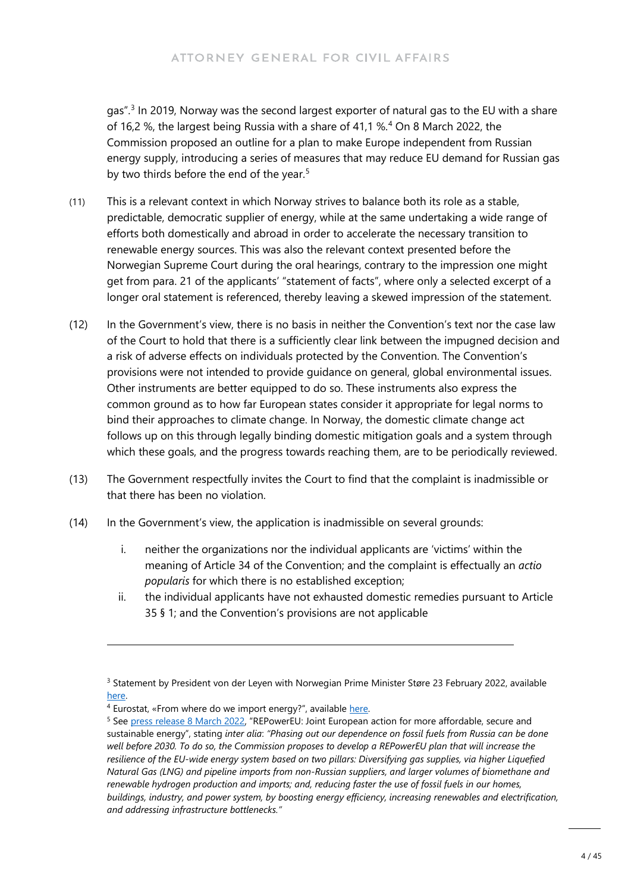gas".<sup>[3](#page-3-0)</sup> In 2019, Norway was the second largest exporter of natural gas to the EU with a share of 16,2 %, the largest being Russia with a share of 41,1 %.[4](#page-3-1) On 8 March 2022, the Commission proposed an outline for a plan to make Europe independent from Russian energy supply, introducing a series of measures that may reduce EU demand for Russian gas by two thirds before the end of the year.<sup>[5](#page-3-2)</sup>

- (11) This is a relevant context in which Norway strives to balance both its role as a stable, predictable, democratic supplier of energy, while at the same undertaking a wide range of efforts both domestically and abroad in order to accelerate the necessary transition to renewable energy sources. This was also the relevant context presented before the Norwegian Supreme Court during the oral hearings, contrary to the impression one might get from para. 21 of the applicants' "statement of facts", where only a selected excerpt of a longer oral statement is referenced, thereby leaving a skewed impression of the statement.
- (12) In the Government's view, there is no basis in neither the Convention's text nor the case law of the Court to hold that there is a sufficiently clear link between the impugned decision and a risk of adverse effects on individuals protected by the Convention. The Convention's provisions were not intended to provide guidance on general, global environmental issues. Other instruments are better equipped to do so. These instruments also express the common ground as to how far European states consider it appropriate for legal norms to bind their approaches to climate change. In Norway, the domestic climate change act follows up on this through legally binding domestic mitigation goals and a system through which these goals, and the progress towards reaching them, are to be periodically reviewed.
- (13) The Government respectfully invites the Court to find that the complaint is inadmissible or that there has been no violation.
- (14) In the Government's view, the application is inadmissible on several grounds:
	- i. neither the organizations nor the individual applicants are 'victims' within the meaning of Article 34 of the Convention; and the complaint is effectually an *actio popularis* for which there is no established exception;
	- ii. the individual applicants have not exhausted domestic remedies pursuant to Article 35 § 1; and the Convention's provisions are not applicable

<span id="page-3-0"></span><sup>&</sup>lt;sup>3</sup> Statement by President von der Leyen with Norwegian Prime Minister Støre 23 February 2022, available [here.](https://ec.europa.eu/commission/presscorner/detail/en/STATEMENT_22_1301) 

<span id="page-3-1"></span><sup>&</sup>lt;sup>4</sup> Eurostat, «From where do we import energy?", available here.

<span id="page-3-2"></span><sup>5</sup> See [press release 8 March 2022,](https://ec.europa.eu/commission/presscorner/detail/en/ip_22_1511) "REPowerEU: Joint European action for more affordable, secure and sustainable energy", stating *inter alia*: *"Phasing out our dependence on fossil fuels from Russia can be done well before 2030. To do so, the Commission proposes to develop a REPowerEU plan that will increase the resilience of the EU-wide energy system based on two pillars: Diversifying gas supplies, via higher Liquefied Natural Gas (LNG) and pipeline imports from non-Russian suppliers, and larger volumes of biomethane and renewable hydrogen production and imports; and, reducing faster the use of fossil fuels in our homes, buildings, industry, and power system, by boosting energy efficiency, increasing renewables and electrification, and addressing infrastructure bottlenecks."*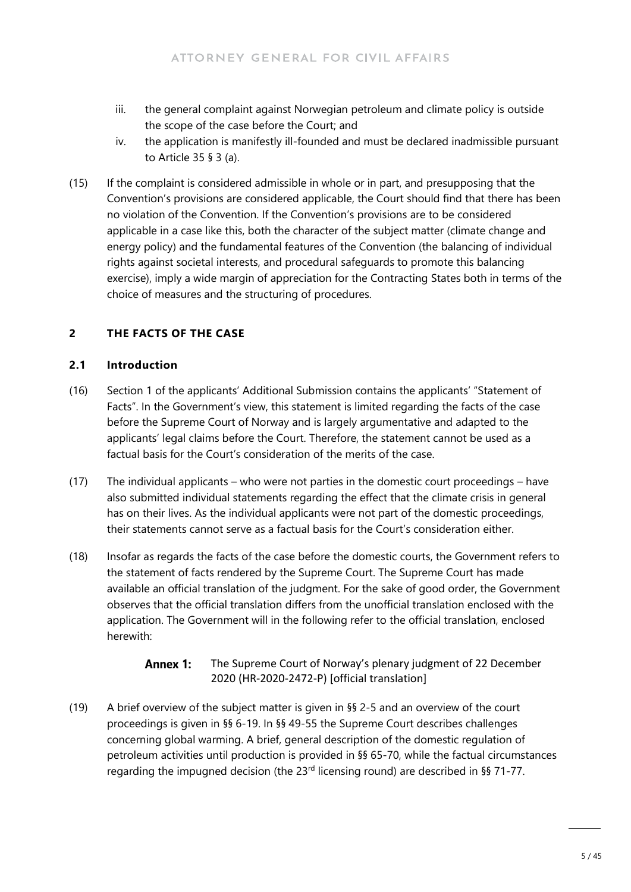- iii. the general complaint against Norwegian petroleum and climate policy is outside the scope of the case before the Court; and
- iv. the application is manifestly ill-founded and must be declared inadmissible pursuant to Article 35 § 3 (a).
- (15) If the complaint is considered admissible in whole or in part, and presupposing that the Convention's provisions are considered applicable, the Court should find that there has been no violation of the Convention. If the Convention's provisions are to be considered applicable in a case like this, both the character of the subject matter (climate change and energy policy) and the fundamental features of the Convention (the balancing of individual rights against societal interests, and procedural safeguards to promote this balancing exercise), imply a wide margin of appreciation for the Contracting States both in terms of the choice of measures and the structuring of procedures.

### **2 THE FACTS OF THE CASE**

#### **2.1 Introduction**

- (16) Section 1 of the applicants' Additional Submission contains the applicants' "Statement of Facts". In the Government's view, this statement is limited regarding the facts of the case before the Supreme Court of Norway and is largely argumentative and adapted to the applicants' legal claims before the Court. Therefore, the statement cannot be used as a factual basis for the Court's consideration of the merits of the case.
- (17) The individual applicants who were not parties in the domestic court proceedings have also submitted individual statements regarding the effect that the climate crisis in general has on their lives. As the individual applicants were not part of the domestic proceedings, their statements cannot serve as a factual basis for the Court's consideration either.
- (18) Insofar as regards the facts of the case before the domestic courts, the Government refers to the statement of facts rendered by the Supreme Court. The Supreme Court has made available an official translation of the judgment. For the sake of good order, the Government observes that the official translation differs from the unofficial translation enclosed with the application. The Government will in the following refer to the official translation, enclosed herewith:

#### Annex 1: The Supreme Court of Norway's plenary judgment of 22 December 2020 (HR-2020-2472-P) [official translation]

(19) A brief overview of the subject matter is given in §§ 2-5 and an overview of the court proceedings is given in §§ 6-19. In §§ 49-55 the Supreme Court describes challenges concerning global warming. A brief, general description of the domestic regulation of petroleum activities until production is provided in §§ 65-70, while the factual circumstances regarding the impugned decision (the 23rd licensing round) are described in §§ 71-77.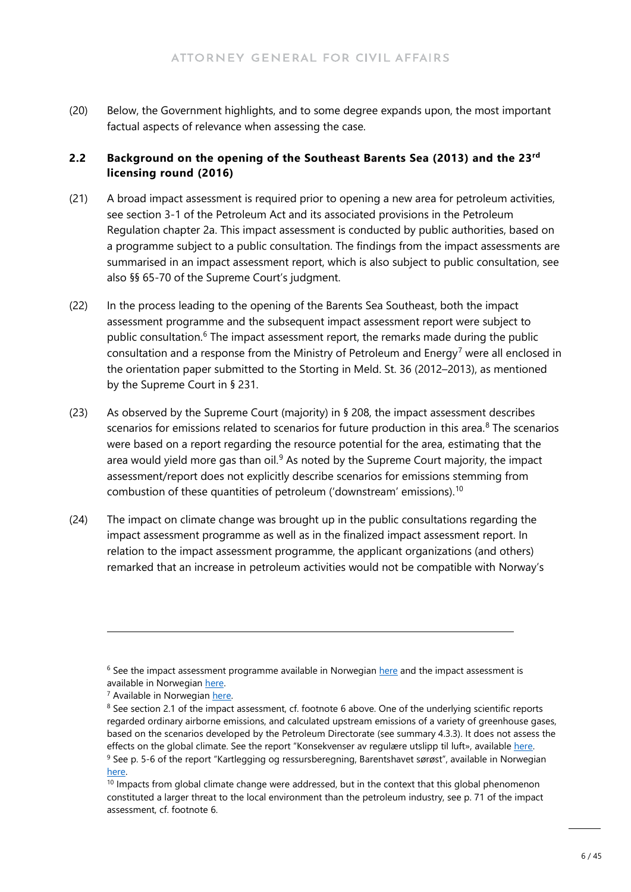(20) Below, the Government highlights, and to some degree expands upon, the most important factual aspects of relevance when assessing the case.

#### **2.2 Background on the opening of the Southeast Barents Sea (2013) and the 23rd licensing round (2016)**

- (21) A broad impact assessment is required prior to opening a new area for petroleum activities, see section 3-1 of the Petroleum Act and its associated provisions in the Petroleum Regulation chapter 2a. This impact assessment is conducted by public authorities, based on a programme subject to a public consultation. The findings from the impact assessments are summarised in an impact assessment report, which is also subject to public consultation, see also §§ 65-70 of the Supreme Court's judgment.
- (22) In the process leading to the opening of the Barents Sea Southeast, both the impact assessment programme and the subsequent impact assessment report were subject to public consultation.<sup>[6](#page-5-0)</sup> The impact assessment report, the remarks made during the public consultation and a response from the Ministry of Petroleum and Energy<sup>[7](#page-5-1)</sup> were all enclosed in the orientation paper submitted to the Storting in Meld. St. 36 (2012–2013), as mentioned by the Supreme Court in § 231.
- (23) As observed by the Supreme Court (majority) in § 208, the impact assessment describes scenarios for emissions related to scenarios for future production in this area.<sup>[8](#page-5-2)</sup> The scenarios were based on a report regarding the resource potential for the area, estimating that the area would yield more gas than oil. $9$  As noted by the Supreme Court majority, the impact assessment/report does not explicitly describe scenarios for emissions stemming from combustion of these quantities of petroleum ('downstream' emissions).[10](#page-5-4)
- (24) The impact on climate change was brought up in the public consultations regarding the impact assessment programme as well as in the finalized impact assessment report. In relation to the impact assessment programme, the applicant organizations (and others) remarked that an increase in petroleum activities would not be compatible with Norway's

<span id="page-5-0"></span> $6$  See the impact assessment programme available in Norwegian [here](https://www.regjeringen.no/globalassets/upload/oed/pdf_filer_2/og/utredningsprogram_bh-so_111122.pdf) and the impact assessment is available in Norwegia[n here.](https://www.regjeringen.no/globalassets/upload/oed/pdf_filer/brosjyrer/y-0121bhele_links.pdf) 

<span id="page-5-1"></span><sup>7</sup> Available in Norwegian [here.](https://www.regjeringen.no/globalassets/upload/oed/pdf_filer/barentshavet_s/behandling_av_kommentarer_050712.pdf) 

<span id="page-5-2"></span><sup>8</sup> See section 2.1 of the impact assessment, cf. footnote 6 above. One of the underlying scientific reports regarded ordinary airborne emissions, and calculated upstream emissions of a variety of greenhouse gases, based on the scenarios developed by the Petroleum Directorate (see summary 4.3.3). It does not assess the effects on the global climate. See the report "Konsekvenser av regulære utslipp til luft», available here. <sup>9</sup> See p. 5-6 of the report "Kartlegging og ressursberegning, Barentshavet sørøst", available in Norwegian here.<br><sup>10</sup> Impacts from global climate change were addressed, but in the context that this global phenomenon

<span id="page-5-4"></span><span id="page-5-3"></span>constituted a larger threat to the local environment than the petroleum industry, see p. 71 of the impact assessment, cf. footnote 6.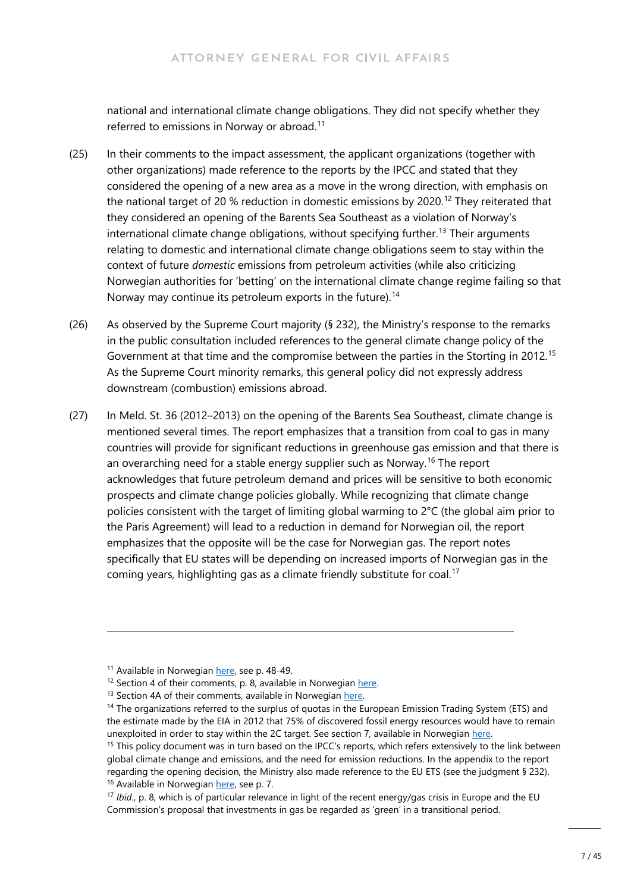national and international climate change obligations. They did not specify whether they referred to emissions in Norway or abroad.<sup>11</sup>

- (25) In their comments to the impact assessment, the applicant organizations (together with other organizations) made reference to the reports by the IPCC and stated that they considered the opening of a new area as a move in the wrong direction, with emphasis on the national target of 20 % reduction in domestic emissions by 2020.<sup>[12](#page-6-1)</sup> They reiterated that they considered an opening of the Barents Sea Southeast as a violation of Norway's international climate change obligations, without specifying further.<sup>[13](#page-6-2)</sup> Their arguments relating to domestic and international climate change obligations seem to stay within the context of future *domestic* emissions from petroleum activities (while also criticizing Norwegian authorities for 'betting' on the international climate change regime failing so that Norway may continue its petroleum exports in the future).<sup>[14](#page-6-3)</sup>
- (26) As observed by the Supreme Court majority (§ 232), the Ministry's response to the remarks in the public consultation included references to the general climate change policy of the Government at that time and the compromise between the parties in the Storting in 2012.<sup>[15](#page-6-4)</sup> As the Supreme Court minority remarks, this general policy did not expressly address downstream (combustion) emissions abroad.
- (27) In Meld. St. 36 (2012–2013) on the opening of the Barents Sea Southeast, climate change is mentioned several times. The report emphasizes that a transition from coal to gas in many countries will provide for significant reductions in greenhouse gas emission and that there is an overarching need for a stable energy supplier such as Norway.<sup>[16](#page-6-5)</sup> The report acknowledges that future petroleum demand and prices will be sensitive to both economic prospects and climate change policies globally. While recognizing that climate change policies consistent with the target of limiting global warming to 2°C (the global aim prior to the Paris Agreement) will lead to a reduction in demand for Norwegian oil, the report emphasizes that the opposite will be the case for Norwegian gas. The report notes specifically that EU states will be depending on increased imports of Norwegian gas in the coming years, highlighting gas as a climate friendly substitute for coal.<sup>17</sup>

<sup>&</sup>lt;sup>11</sup> Available in Norwegian [here,](https://www.regjeringen.no/globalassets/upload/oed/pdf_filer/barentshavet_s/behandling_av_kommentarer_050712.pdf) see p. 48-49.

<span id="page-6-1"></span><span id="page-6-0"></span><sup>&</sup>lt;sup>12</sup> Section 4 of their comments, p. 8, available in Norwegian here.

<sup>&</sup>lt;sup>13</sup> Section 4A of their comments, available in Norwegian here.

<span id="page-6-3"></span><span id="page-6-2"></span><sup>&</sup>lt;sup>14</sup> The organizations referred to the surplus of quotas in the European Emission Trading System (ETS) and the estimate made by the EIA in 2012 that 75% of discovered fossil energy resources would have to remain unexploited in order to stay within the 2C target. See section 7, available in Norwegian here.

<span id="page-6-4"></span><sup>&</sup>lt;sup>15</sup> This policy document was in turn based on the IPCC's reports, which refers extensively to the link between global climate change and emissions, and the need for emission reductions. In the appendix to the report regarding the opening decision, the Ministry also made reference to the EU ETS (see the judgment § 232). <sup>16</sup> Available in Norwegian [here,](https://www.regjeringen.no/contentassets/ba20e3609dde46a29bb734477b6e0a20/no/pdfs/stm201220130036000dddpdfs.pdf) see p. 7.

<span id="page-6-6"></span><span id="page-6-5"></span><sup>17</sup> *Ibid*., p. 8, which is of particular relevance in light of the recent energy/gas crisis in Europe and the EU Commission's proposal that investments in gas be regarded as 'green' in a transitional period.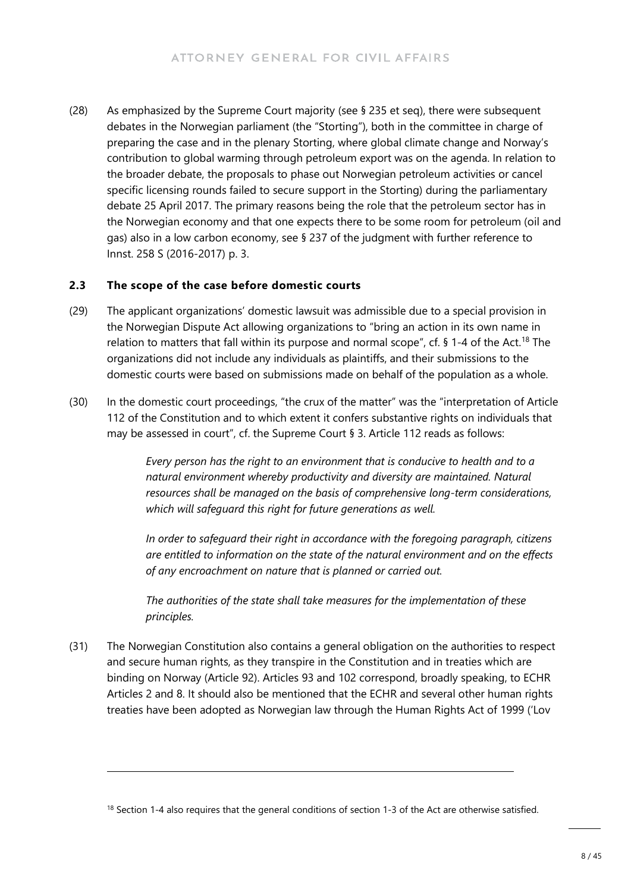(28) As emphasized by the Supreme Court majority (see § 235 et seq), there were subsequent debates in the Norwegian parliament (the "Storting"), both in the committee in charge of preparing the case and in the plenary Storting, where global climate change and Norway's contribution to global warming through petroleum export was on the agenda. In relation to the broader debate, the proposals to phase out Norwegian petroleum activities or cancel specific licensing rounds failed to secure support in the Storting) during the parliamentary debate 25 April 2017. The primary reasons being the role that the petroleum sector has in the Norwegian economy and that one expects there to be some room for petroleum (oil and gas) also in a low carbon economy, see § 237 of the judgment with further reference to Innst. 258 S (2016-2017) p. 3.

#### **2.3 The scope of the case before domestic courts**

- (29) The applicant organizations' domestic lawsuit was admissible due to a special provision in the Norwegian Dispute Act allowing organizations to "bring an action in its own name in relation to matters that fall within its purpose and normal scope", cf.  $\S$  1-4 of the Act.<sup>[18](#page-7-0)</sup> The organizations did not include any individuals as plaintiffs, and their submissions to the domestic courts were based on submissions made on behalf of the population as a whole.
- (30) In the domestic court proceedings, "the crux of the matter" was the "interpretation of Article 112 of the Constitution and to which extent it confers substantive rights on individuals that may be assessed in court", cf. the Supreme Court § 3. Article 112 reads as follows:

*Every person has the right to an environment that is conducive to health and to a natural environment whereby productivity and diversity are maintained. Natural resources shall be managed on the basis of comprehensive long-term considerations, which will safeguard this right for future generations as well.* 

*In order to safeguard their right in accordance with the foregoing paragraph, citizens are entitled to information on the state of the natural environment and on the effects of any encroachment on nature that is planned or carried out.* 

*The authorities of the state shall take measures for the implementation of these principles.*

(31) The Norwegian Constitution also contains a general obligation on the authorities to respect and secure human rights, as they transpire in the Constitution and in treaties which are binding on Norway (Article 92). Articles 93 and 102 correspond, broadly speaking, to ECHR Articles 2 and 8. It should also be mentioned that the ECHR and several other human rights treaties have been adopted as Norwegian law through the Human Rights Act of 1999 ('Lov

<span id="page-7-0"></span> $18$  Section 1-4 also requires that the general conditions of section 1-3 of the Act are otherwise satisfied.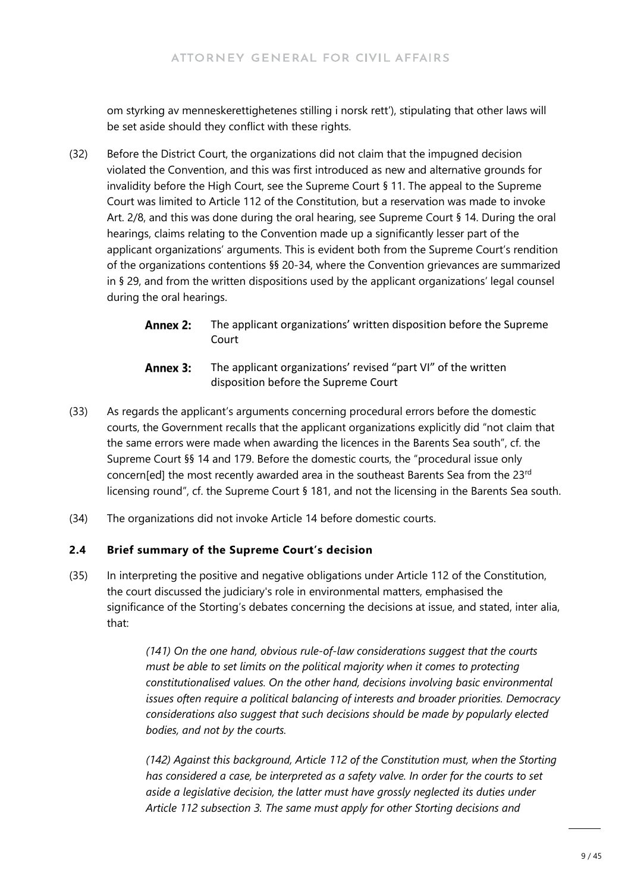om styrking av menneskerettighetenes stilling i norsk rett'), stipulating that other laws will be set aside should they conflict with these rights.

- (32) Before the District Court, the organizations did not claim that the impugned decision violated the Convention, and this was first introduced as new and alternative grounds for invalidity before the High Court, see the Supreme Court § 11. The appeal to the Supreme Court was limited to Article 112 of the Constitution, but a reservation was made to invoke Art. 2/8, and this was done during the oral hearing, see Supreme Court § 14. During the oral hearings, claims relating to the Convention made up a significantly lesser part of the applicant organizations' arguments. This is evident both from the Supreme Court's rendition of the organizations contentions §§ 20-34, where the Convention grievances are summarized in § 29, and from the written dispositions used by the applicant organizations' legal counsel during the oral hearings.
	- **Annex 2:** The applicant organizations' written disposition before the Supreme Court
	- The applicant organizations' revised "part VI" of the written Annex 3: disposition before the Supreme Court
- (33) As regards the applicant's arguments concerning procedural errors before the domestic courts, the Government recalls that the applicant organizations explicitly did "not claim that the same errors were made when awarding the licences in the Barents Sea south", cf. the Supreme Court §§ 14 and 179. Before the domestic courts, the "procedural issue only concern[ed] the most recently awarded area in the southeast Barents Sea from the 23<sup>rd</sup> licensing round", cf. the Supreme Court § 181, and not the licensing in the Barents Sea south.
- (34) The organizations did not invoke Article 14 before domestic courts.

#### **2.4 Brief summary of the Supreme Court's decision**

(35) In interpreting the positive and negative obligations under Article 112 of the Constitution, the court discussed the judiciary's role in environmental matters, emphasised the significance of the Storting's debates concerning the decisions at issue, and stated, inter alia, that:

> *(141) On the one hand, obvious rule-of-law considerations suggest that the courts must be able to set limits on the political majority when it comes to protecting constitutionalised values. On the other hand, decisions involving basic environmental issues often require a political balancing of interests and broader priorities. Democracy considerations also suggest that such decisions should be made by popularly elected bodies, and not by the courts.*

> *(142) Against this background, Article 112 of the Constitution must, when the Storting has considered a case, be interpreted as a safety valve. In order for the courts to set aside a legislative decision, the latter must have grossly neglected its duties under Article 112 subsection 3. The same must apply for other Storting decisions and*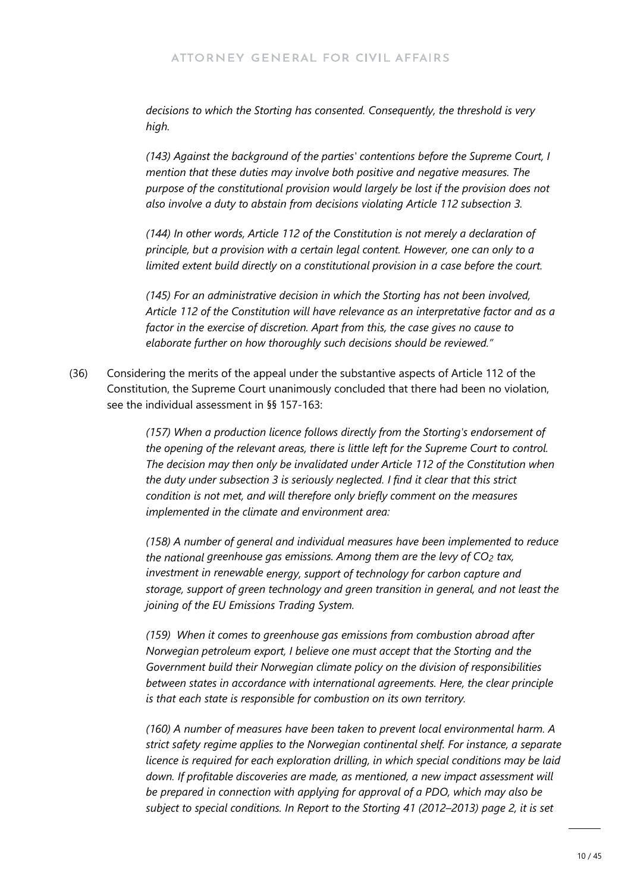*decisions to which the Storting has consented. Consequently, the threshold is very high.*

*(143) Against the background of the parties' contentions before the Supreme Court, I mention that these duties may involve both positive and negative measures. The purpose of the constitutional provision would largely be lost if the provision does not also involve a duty to abstain from decisions violating Article 112 subsection 3.*

*(144) In other words, Article 112 of the Constitution is not merely a declaration of principle, but a provision with a certain legal content. However, one can only to a limited extent build directly on a constitutional provision in a case before the court.*

*(145) For an administrative decision in which the Storting has not been involved, Article 112 of the Constitution will have relevance as an interpretative factor and as a factor in the exercise of discretion. Apart from this, the case gives no cause to elaborate further on how thoroughly such decisions should be reviewed."*

(36) Considering the merits of the appeal under the substantive aspects of Article 112 of the Constitution, the Supreme Court unanimously concluded that there had been no violation, see the individual assessment in §§ 157-163:

> *(157) When a production licence follows directly from the Storting's endorsement of the opening of the relevant areas, there is little left for the Supreme Court to control. The decision may then only be invalidated under Article 112 of the Constitution when the duty under subsection 3 is seriously neglected. I find it clear that this strict condition is not met, and will therefore only briefly comment on the measures implemented in the climate and environment area:*

*(158) A number of general and individual measures have been implemented to reduce the national greenhouse gas emissions. Among them are the levy of CO2 tax, investment in renewable energy, support of technology for carbon capture and storage, support of green technology and green transition in general, and not least the joining of the EU Emissions Trading System.*

*(159) When it comes to greenhouse gas emissions from combustion abroad after Norwegian petroleum export, I believe one must accept that the Storting and the Government build their Norwegian climate policy on the division of responsibilities between states in accordance with international agreements. Here, the clear principle is that each state is responsible for combustion on its own territory.*

*(160) A number of measures have been taken to prevent local environmental harm. A strict safety regime applies to the Norwegian continental shelf. For instance, a separate licence is required for each exploration drilling, in which special conditions may be laid*  down. If profitable discoveries are made, as mentioned, a new impact assessment will *be prepared in connection with applying for approval of a PDO, which may also be subject to special conditions. In Report to the Storting 41 (2012–2013) page 2, it is set*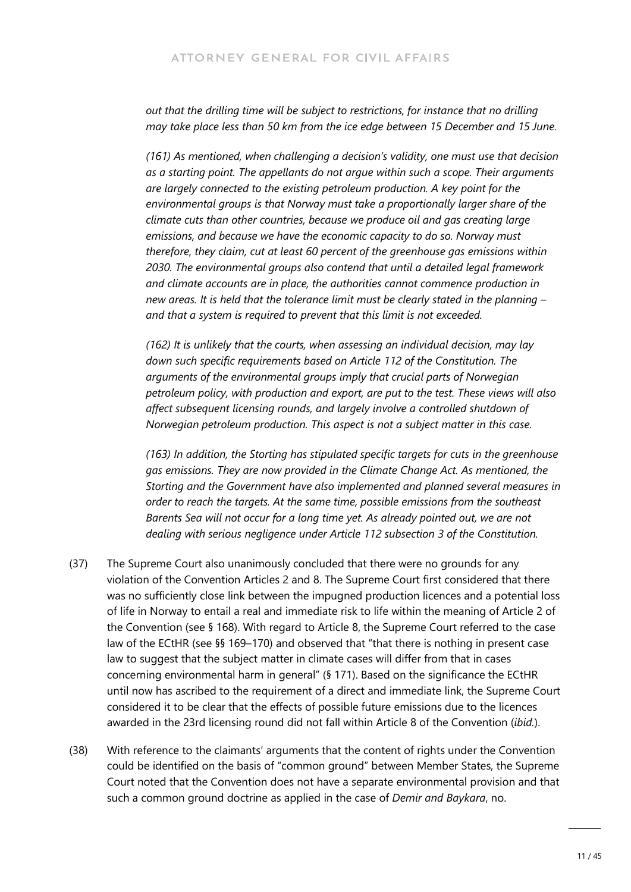*out that the drilling time will be subject to restrictions, for instance that no drilling may take place less than 50 km from the ice edge between 15 December and 15 June.*

*(161) As mentioned, when challenging a decision's validity, one must use that decision as a starting point. The appellants do not argue within such a scope. Their arguments are largely connected to the existing petroleum production. A key point for the environmental groups is that Norway must take a proportionally larger share of the climate cuts than other countries, because we produce oil and gas creating large emissions, and because we have the economic capacity to do so. Norway must therefore, they claim, cut at least 60 percent of the greenhouse gas emissions within 2030. The environmental groups also contend that until a detailed legal framework and climate accounts are in place, the authorities cannot commence production in new areas. It is held that the tolerance limit must be clearly stated in the planning – and that a system is required to prevent that this limit is not exceeded.* 

*(162) It is unlikely that the courts, when assessing an individual decision, may lay down such specific requirements based on Article 112 of the Constitution. The arguments of the environmental groups imply that crucial parts of Norwegian petroleum policy, with production and export, are put to the test. These views will also affect subsequent licensing rounds, and largely involve a controlled shutdown of Norwegian petroleum production. This aspect is not a subject matter in this case.*

*(163) In addition, the Storting has stipulated specific targets for cuts in the greenhouse gas emissions. They are now provided in the Climate Change Act. As mentioned, the Storting and the Government have also implemented and planned several measures in order to reach the targets. At the same time, possible emissions from the southeast Barents Sea will not occur for a long time yet. As already pointed out, we are not dealing with serious negligence under Article 112 subsection 3 of the Constitution.*

- (37) The Supreme Court also unanimously concluded that there were no grounds for any violation of the Convention Articles 2 and 8. The Supreme Court first considered that there was no sufficiently close link between the impugned production licences and a potential loss of life in Norway to entail a real and immediate risk to life within the meaning of Article 2 of the Convention (see § 168). With regard to Article 8, the Supreme Court referred to the case law of the ECtHR (see §§ 169–170) and observed that "that there is nothing in present case law to suggest that the subject matter in climate cases will differ from that in cases concerning environmental harm in general" (§ 171). Based on the significance the ECtHR until now has ascribed to the requirement of a direct and immediate link, the Supreme Court considered it to be clear that the effects of possible future emissions due to the licences awarded in the 23rd licensing round did not fall within Article 8 of the Convention (*ibid.*).
- (38) With reference to the claimants' arguments that the content of rights under the Convention could be identified on the basis of "common ground" between Member States, the Supreme Court noted that the Convention does not have a separate environmental provision and that such a common ground doctrine as applied in the case of *Demir and Baykara*, no.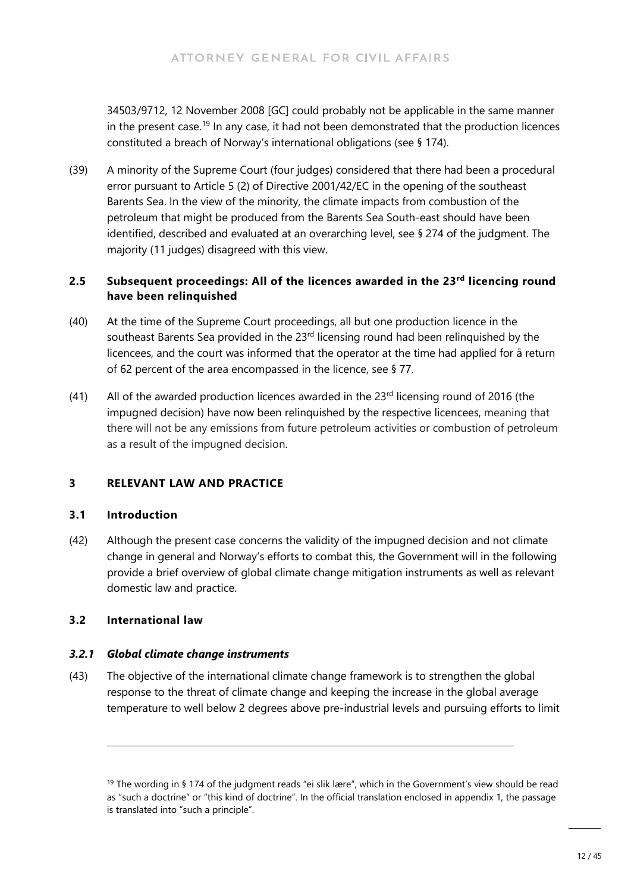34503/9712, 12 November 2008 [GC] could probably not be applicable in the same manner in the present case.<sup>[19](#page-11-0)</sup> In any case, it had not been demonstrated that the production licences constituted a breach of Norway's international obligations (see § 174).

(39) A minority of the Supreme Court (four judges) considered that there had been a procedural error pursuant to Article 5 (2) of Directive 2001/42/EC in the opening of the southeast Barents Sea. In the view of the minority, the climate impacts from combustion of the petroleum that might be produced from the Barents Sea South-east should have been identified, described and evaluated at an overarching level, see § 274 of the judgment. The majority (11 judges) disagreed with this view.

### **2.5 Subsequent proceedings: All of the licences awarded in the 23rd licencing round have been relinquished**

- (40) At the time of the Supreme Court proceedings, all but one production licence in the southeast Barents Sea provided in the 23<sup>rd</sup> licensing round had been relinquished by the licencees, and the court was informed that the operator at the time had applied for å return of 62 percent of the area encompassed in the licence, see § 77.
- (41) All of the awarded production licences awarded in the  $23<sup>rd</sup>$  licensing round of 2016 (the impugned decision) have now been relinquished by the respective licencees, meaning that there will not be any emissions from future petroleum activities or combustion of petroleum as a result of the impugned decision.

### **3 RELEVANT LAW AND PRACTICE**

#### **3.1 Introduction**

(42) Although the present case concerns the validity of the impugned decision and not climate change in general and Norway's efforts to combat this, the Government will in the following provide a brief overview of global climate change mitigation instruments as well as relevant domestic law and practice.

### **3.2 International law**

#### *3.2.1 Global climate change instruments*

(43) The objective of the international climate change framework is to strengthen the global response to the threat of climate change and keeping the increase in the global average temperature to well below 2 degrees above pre-industrial levels and pursuing efforts to limit

<span id="page-11-0"></span><sup>&</sup>lt;sup>19</sup> The wording in § 174 of the judgment reads "ei slik lære", which in the Government's view should be read as "such a doctrine" or "this kind of doctrine". In the official translation enclosed in appendix 1, the passage is translated into "such a principle".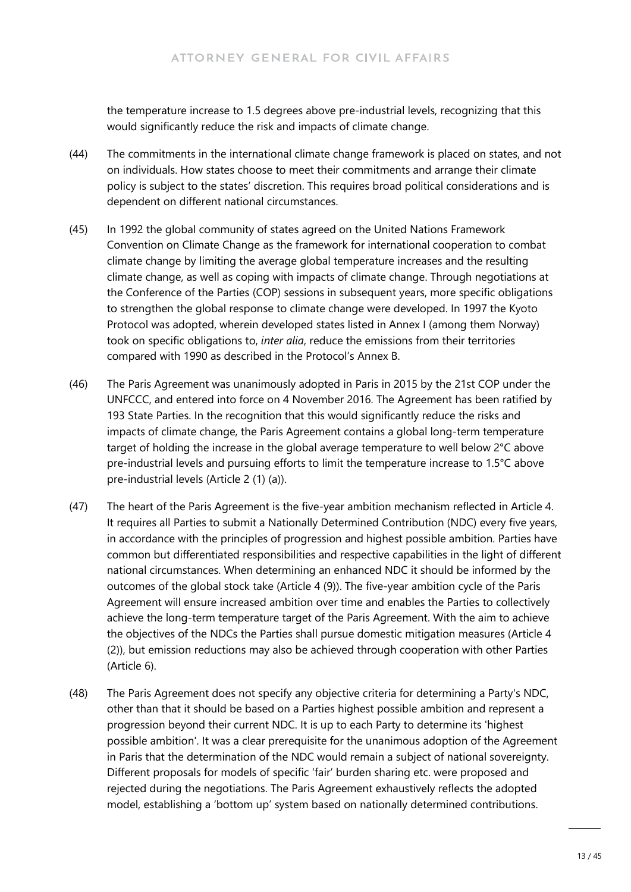the temperature increase to 1.5 degrees above pre-industrial levels, recognizing that this would significantly reduce the risk and impacts of climate change.

- (44) The commitments in the international climate change framework is placed on states, and not on individuals. How states choose to meet their commitments and arrange their climate policy is subject to the states' discretion. This requires broad political considerations and is dependent on different national circumstances.
- (45) In 1992 the global community of states agreed on the United Nations Framework Convention on Climate Change as the framework for international cooperation to combat climate change by limiting the average global temperature increases and the resulting climate change, as well as coping with impacts of climate change. Through negotiations at the Conference of the Parties (COP) sessions in subsequent years, more specific obligations to strengthen the global response to climate change were developed. In 1997 the Kyoto Protocol was adopted, wherein developed states listed in Annex I (among them Norway) took on specific obligations to, *inter alia*, reduce the emissions from their territories compared with 1990 as described in the Protocol's Annex B.
- (46) The Paris Agreement was unanimously adopted in Paris in 2015 by the 21st COP under the UNFCCC, and entered into force on 4 November 2016. The Agreement has been ratified by 193 State Parties. In the recognition that this would significantly reduce the risks and impacts of climate change, the Paris Agreement contains a global long-term temperature target of holding the increase in the global average temperature to well below 2°C above pre-industrial levels and pursuing efforts to limit the temperature increase to 1.5°C above pre-industrial levels (Article 2 (1) (a)).
- (47) The heart of the Paris Agreement is the five-year ambition mechanism reflected in Article 4. It requires all Parties to submit a Nationally Determined Contribution (NDC) every five years, in accordance with the principles of progression and highest possible ambition. Parties have common but differentiated responsibilities and respective capabilities in the light of different national circumstances. When determining an enhanced NDC it should be informed by the outcomes of the global stock take (Article 4 (9)). The five-year ambition cycle of the Paris Agreement will ensure increased ambition over time and enables the Parties to collectively achieve the long-term temperature target of the Paris Agreement. With the aim to achieve the objectives of the NDCs the Parties shall pursue domestic mitigation measures (Article 4 (2)), but emission reductions may also be achieved through cooperation with other Parties (Article 6).
- (48) The Paris Agreement does not specify any objective criteria for determining a Party's NDC, other than that it should be based on a Parties highest possible ambition and represent a progression beyond their current NDC. It is up to each Party to determine its 'highest possible ambition'. It was a clear prerequisite for the unanimous adoption of the Agreement in Paris that the determination of the NDC would remain a subject of national sovereignty. Different proposals for models of specific 'fair' burden sharing etc. were proposed and rejected during the negotiations. The Paris Agreement exhaustively reflects the adopted model, establishing a 'bottom up' system based on nationally determined contributions.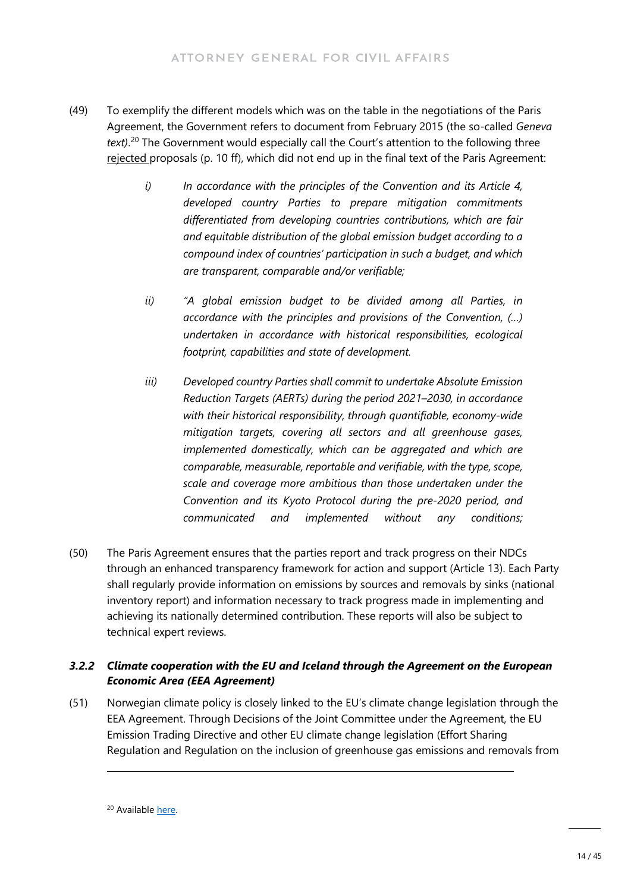- (49) To exemplify the different models which was on the table in the negotiations of the Paris Agreement, the Government refers to document from February 2015 (the so-called *Geneva text)*. [20](#page-13-0) The Government would especially call the Court's attention to the following three rejected proposals (p. 10 ff), which did not end up in the final text of the Paris Agreement:
	- *i) In accordance with the principles of the Convention and its Article 4, developed country Parties to prepare mitigation commitments differentiated from developing countries contributions, which are fair and equitable distribution of the global emission budget according to a compound index of countries' participation in such a budget, and which are transparent, comparable and/or verifiable;*
	- *ii) "A global emission budget to be divided among all Parties, in accordance with the principles and provisions of the Convention, (…) undertaken in accordance with historical responsibilities, ecological footprint, capabilities and state of development.*
	- *iii) Developed country Parties shall commit to undertake Absolute Emission Reduction Targets (AERTs) during the period 2021–2030, in accordance with their historical responsibility, through quantifiable, economy-wide mitigation targets, covering all sectors and all greenhouse gases, implemented domestically, which can be aggregated and which are comparable, measurable, reportable and verifiable, with the type, scope, scale and coverage more ambitious than those undertaken under the Convention and its Kyoto Protocol during the pre-2020 period, and communicated and implemented without any conditions;*
- (50) The Paris Agreement ensures that the parties report and track progress on their NDCs through an enhanced transparency framework for action and support (Article 13). Each Party shall regularly provide information on emissions by sources and removals by sinks (national inventory report) and information necessary to track progress made in implementing and achieving its nationally determined contribution. These reports will also be subject to technical expert reviews.

#### *3.2.2 Climate cooperation with the EU and Iceland through the Agreement on the European Economic Area (EEA Agreement)*

(51) Norwegian climate policy is closely linked to the EU's climate change legislation through the EEA Agreement. Through Decisions of the Joint Committee under the Agreement, the EU Emission Trading Directive and other EU climate change legislation (Effort Sharing Regulation and Regulation on the inclusion of greenhouse gas emissions and removals from

<span id="page-13-0"></span><sup>20</sup> Available [here.](https://unfccc.int/sites/default/files/negotiating_text_12022015%402200.pdf)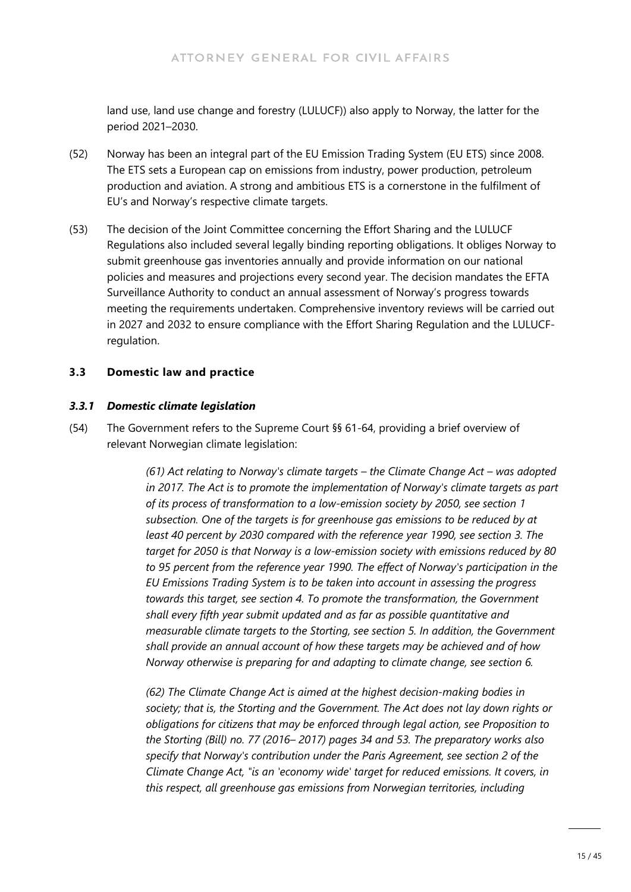land use, land use change and forestry (LULUCF)) also apply to Norway, the latter for the period 2021–2030.

- (52) Norway has been an integral part of the EU Emission Trading System (EU ETS) since 2008. The ETS sets a European cap on emissions from industry, power production, petroleum production and aviation. A strong and ambitious ETS is a cornerstone in the fulfilment of EU's and Norway's respective climate targets.
- (53) The decision of the Joint Committee concerning the Effort Sharing and the LULUCF Regulations also included several legally binding reporting obligations. It obliges Norway to submit greenhouse gas inventories annually and provide information on our national policies and measures and projections every second year. The decision mandates the EFTA Surveillance Authority to conduct an annual assessment of Norway's progress towards meeting the requirements undertaken. Comprehensive inventory reviews will be carried out in 2027 and 2032 to ensure compliance with the Effort Sharing Regulation and the LULUCFregulation.

#### **3.3 Domestic law and practice**

#### *3.3.1 Domestic climate legislation*

(54) The Government refers to the Supreme Court §§ 61-64, providing a brief overview of relevant Norwegian climate legislation:

> *(61) Act relating to Norway's climate targets – the Climate Change Act – was adopted in 2017. The Act is to promote the implementation of Norway's climate targets as part of its process of transformation to a low-emission society by 2050, see section 1 subsection. One of the targets is for greenhouse gas emissions to be reduced by at least 40 percent by 2030 compared with the reference year 1990, see section 3. The target for 2050 is that Norway is a low-emission society with emissions reduced by 80 to 95 percent from the reference year 1990. The effect of Norway's participation in the EU Emissions Trading System is to be taken into account in assessing the progress towards this target, see section 4. To promote the transformation, the Government shall every fifth year submit updated and as far as possible quantitative and measurable climate targets to the Storting, see section 5. In addition, the Government shall provide an annual account of how these targets may be achieved and of how Norway otherwise is preparing for and adapting to climate change, see section 6.*

*(62) The Climate Change Act is aimed at the highest decision-making bodies in society; that is, the Storting and the Government. The Act does not lay down rights or obligations for citizens that may be enforced through legal action, see Proposition to the Storting (Bill) no. 77 (2016– 2017) pages 34 and 53. The preparatory works also specify that Norway's contribution under the Paris Agreement, see section 2 of the Climate Change Act, "is an 'economy wide' target for reduced emissions. It covers, in this respect, all greenhouse gas emissions from Norwegian territories, including*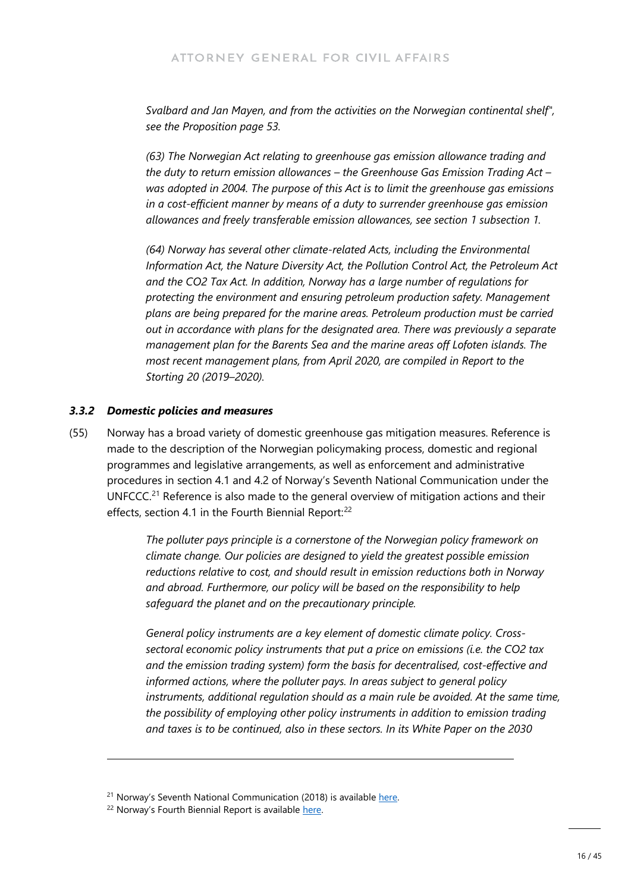*Svalbard and Jan Mayen, and from the activities on the Norwegian continental shelf", see the Proposition page 53.*

*(63) The Norwegian Act relating to greenhouse gas emission allowance trading and the duty to return emission allowances – the Greenhouse Gas Emission Trading Act – was adopted in 2004. The purpose of this Act is to limit the greenhouse gas emissions in a cost-efficient manner by means of a duty to surrender greenhouse gas emission allowances and freely transferable emission allowances, see section 1 subsection 1.*

*(64) Norway has several other climate-related Acts, including the Environmental Information Act, the Nature Diversity Act, the Pollution Control Act, the Petroleum Act and the CO2 Tax Act. In addition, Norway has a large number of regulations for protecting the environment and ensuring petroleum production safety. Management plans are being prepared for the marine areas. Petroleum production must be carried out in accordance with plans for the designated area. There was previously a separate management plan for the Barents Sea and the marine areas off Lofoten islands. The most recent management plans, from April 2020, are compiled in Report to the Storting 20 (2019–2020).*

#### *3.3.2 Domestic policies and measures*

(55) Norway has a broad variety of domestic greenhouse gas mitigation measures. Reference is made to the description of the Norwegian policymaking process, domestic and regional programmes and legislative arrangements, as well as enforcement and administrative procedures in section 4.1 and 4.2 of Norway's Seventh National Communication under the UNFCCC.<sup>[21](#page-15-0)</sup> Reference is also made to the general overview of mitigation actions and their effects, section 4.1 in the Fourth Biennial Report:<sup>[22](#page-15-1)</sup>

> *The polluter pays principle is a cornerstone of the Norwegian policy framework on climate change. Our policies are designed to yield the greatest possible emission reductions relative to cost, and should result in emission reductions both in Norway and abroad. Furthermore, our policy will be based on the responsibility to help safeguard the planet and on the precautionary principle.*

*General policy instruments are a key element of domestic climate policy. Crosssectoral economic policy instruments that put a price on emissions (i.e. the CO2 tax and the emission trading system) form the basis for decentralised, cost-effective and informed actions, where the polluter pays. In areas subject to general policy instruments, additional regulation should as a main rule be avoided. At the same time, the possibility of employing other policy instruments in addition to emission trading and taxes is to be continued, also in these sectors. In its White Paper on the 2030* 

<sup>&</sup>lt;sup>21</sup> Norway's Seventh National Communication (2018) is available [here.](https://www.regjeringen.no/contentassets/52d65a62e2474bafa21f4476380cffda/t-1563e.pdf)

<span id="page-15-1"></span><span id="page-15-0"></span><sup>&</sup>lt;sup>22</sup> Norway's Fourth Biennial Report is available here.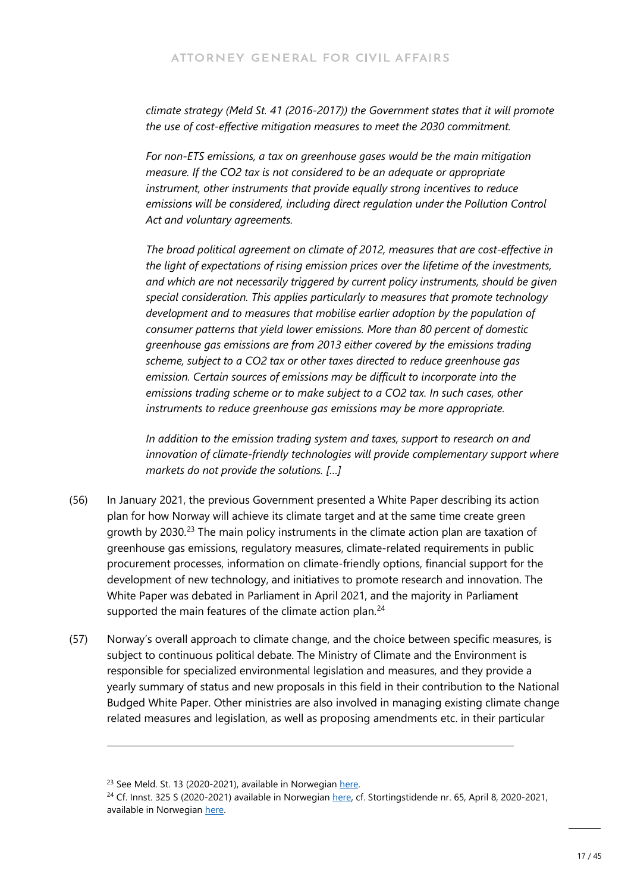*climate strategy (Meld St. 41 (2016-2017)) the Government states that it will promote the use of cost-effective mitigation measures to meet the 2030 commitment.*

*For non-ETS emissions, a tax on greenhouse gases would be the main mitigation measure. If the CO2 tax is not considered to be an adequate or appropriate instrument, other instruments that provide equally strong incentives to reduce emissions will be considered, including direct regulation under the Pollution Control Act and voluntary agreements.*

*The broad political agreement on climate of 2012, measures that are cost-effective in the light of expectations of rising emission prices over the lifetime of the investments, and which are not necessarily triggered by current policy instruments, should be given special consideration. This applies particularly to measures that promote technology development and to measures that mobilise earlier adoption by the population of consumer patterns that yield lower emissions. More than 80 percent of domestic greenhouse gas emissions are from 2013 either covered by the emissions trading scheme, subject to a CO2 tax or other taxes directed to reduce greenhouse gas emission. Certain sources of emissions may be difficult to incorporate into the emissions trading scheme or to make subject to a CO2 tax. In such cases, other instruments to reduce greenhouse gas emissions may be more appropriate.*

*In addition to the emission trading system and taxes, support to research on and innovation of climate-friendly technologies will provide complementary support where markets do not provide the solutions. […]*

- (56) In January 2021, the previous Government presented a White Paper describing its action plan for how Norway will achieve its climate target and at the same time create green growth by 2030.<sup>[23](#page-16-0)</sup> The main policy instruments in the climate action plan are taxation of greenhouse gas emissions, regulatory measures, climate-related requirements in public procurement processes, information on climate-friendly options, financial support for the development of new technology, and initiatives to promote research and innovation. The White Paper was debated in Parliament in April 2021, and the majority in Parliament supported the main features of the climate action plan.<sup>[24](#page-16-1)</sup>
- (57) Norway's overall approach to climate change, and the choice between specific measures, is subject to continuous political debate. The Ministry of Climate and the Environment is responsible for specialized environmental legislation and measures, and they provide a yearly summary of status and new proposals in this field in their contribution to the National Budged White Paper. Other ministries are also involved in managing existing climate change related measures and legislation, as well as proposing amendments etc. in their particular

<span id="page-16-0"></span><sup>&</sup>lt;sup>23</sup> See Meld. St. 13 (2020-2021), available in Norwegian here.

<span id="page-16-1"></span><sup>&</sup>lt;sup>24</sup> Cf. Innst. 325 S (2020-2021) available in Norwegian [here,](https://www.stortinget.no/no/Saker-og-publikasjoner/Publikasjoner/Innstillinger/Stortinget/2020-2021/inns-202021-325s/) cf. Stortingstidende nr. 65, April 8, 2020-2021, available in Norwegian here.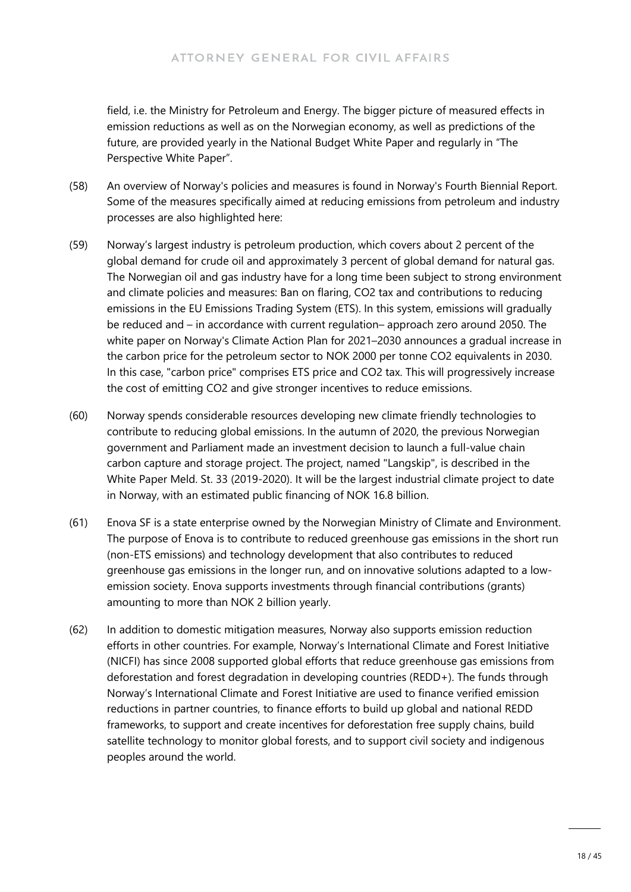field, i.e. the Ministry for Petroleum and Energy. The bigger picture of measured effects in emission reductions as well as on the Norwegian economy, as well as predictions of the future, are provided yearly in the National Budget White Paper and regularly in "The Perspective White Paper".

- (58) An overview of Norway's policies and measures is found in Norway's Fourth Biennial Report. Some of the measures specifically aimed at reducing emissions from petroleum and industry processes are also highlighted here:
- (59) Norway's largest industry is petroleum production, which covers about 2 percent of the global demand for crude oil and approximately 3 percent of global demand for natural gas. The Norwegian oil and gas industry have for a long time been subject to strong environment and climate policies and measures: Ban on flaring, CO2 tax and contributions to reducing emissions in the EU Emissions Trading System (ETS). In this system, emissions will gradually be reduced and – in accordance with current regulation– approach zero around 2050. The white paper on Norway's Climate Action Plan for 2021–2030 announces a gradual increase in the carbon price for the petroleum sector to NOK 2000 per tonne CO2 equivalents in 2030. In this case, "carbon price" comprises ETS price and CO2 tax. This will progressively increase the cost of emitting CO2 and give stronger incentives to reduce emissions.
- (60) Norway spends considerable resources developing new climate friendly technologies to contribute to reducing global emissions. In the autumn of 2020, the previous Norwegian government and Parliament made an investment decision to launch a full-value chain carbon capture and storage project. The project, named "Langskip", is described in the White Paper Meld. St. 33 (2019-2020). It will be the largest industrial climate project to date in Norway, with an estimated public financing of NOK 16.8 billion.
- (61) Enova SF is a state enterprise owned by the Norwegian Ministry of Climate and Environment. The purpose of Enova is to contribute to reduced greenhouse gas emissions in the short run (non-ETS emissions) and technology development that also contributes to reduced greenhouse gas emissions in the longer run, and on innovative solutions adapted to a lowemission society. Enova supports investments through financial contributions (grants) amounting to more than NOK 2 billion yearly.
- (62) In addition to domestic mitigation measures, Norway also supports emission reduction efforts in other countries. For example, Norway's International Climate and Forest Initiative (NICFI) has since 2008 supported global efforts that reduce greenhouse gas emissions from deforestation and forest degradation in developing countries (REDD+). The funds through Norway's International Climate and Forest Initiative are used to finance verified emission reductions in partner countries, to finance efforts to build up global and national REDD frameworks, to support and create incentives for deforestation free supply chains, build satellite technology to monitor global forests, and to support civil society and indigenous peoples around the world.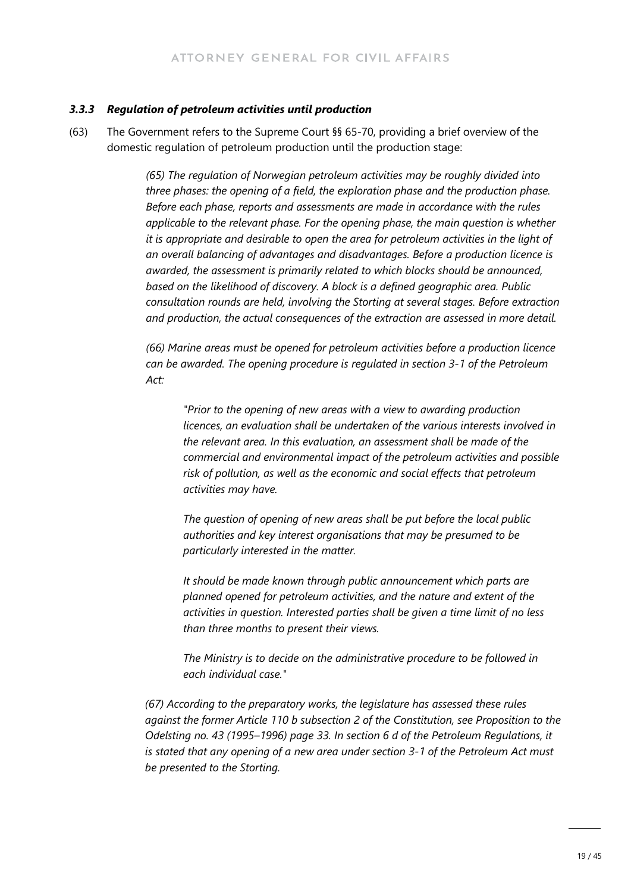#### *3.3.3 Regulation of petroleum activities until production*

(63) The Government refers to the Supreme Court §§ 65-70, providing a brief overview of the domestic regulation of petroleum production until the production stage:

> *(65) The regulation of Norwegian petroleum activities may be roughly divided into three phases: the opening of a field, the exploration phase and the production phase. Before each phase, reports and assessments are made in accordance with the rules applicable to the relevant phase. For the opening phase, the main question is whether it is appropriate and desirable to open the area for petroleum activities in the light of an overall balancing of advantages and disadvantages. Before a production licence is awarded, the assessment is primarily related to which blocks should be announced, based on the likelihood of discovery. A block is a defined geographic area. Public consultation rounds are held, involving the Storting at several stages. Before extraction and production, the actual consequences of the extraction are assessed in more detail.*

> *(66) Marine areas must be opened for petroleum activities before a production licence can be awarded. The opening procedure is regulated in section 3-1 of the Petroleum Act:*

*"Prior to the opening of new areas with a view to awarding production licences, an evaluation shall be undertaken of the various interests involved in the relevant area. In this evaluation, an assessment shall be made of the commercial and environmental impact of the petroleum activities and possible risk of pollution, as well as the economic and social effects that petroleum activities may have.*

*The question of opening of new areas shall be put before the local public authorities and key interest organisations that may be presumed to be particularly interested in the matter.*

*It should be made known through public announcement which parts are planned opened for petroleum activities, and the nature and extent of the activities in question. Interested parties shall be given a time limit of no less than three months to present their views.*

*The Ministry is to decide on the administrative procedure to be followed in each individual case."*

*(67) According to the preparatory works, the legislature has assessed these rules against the former Article 110 b subsection 2 of the Constitution, see Proposition to the Odelsting no. 43 (1995–1996) page 33. In section 6 d of the Petroleum Regulations, it is stated that any opening of a new area under section 3-1 of the Petroleum Act must be presented to the Storting.*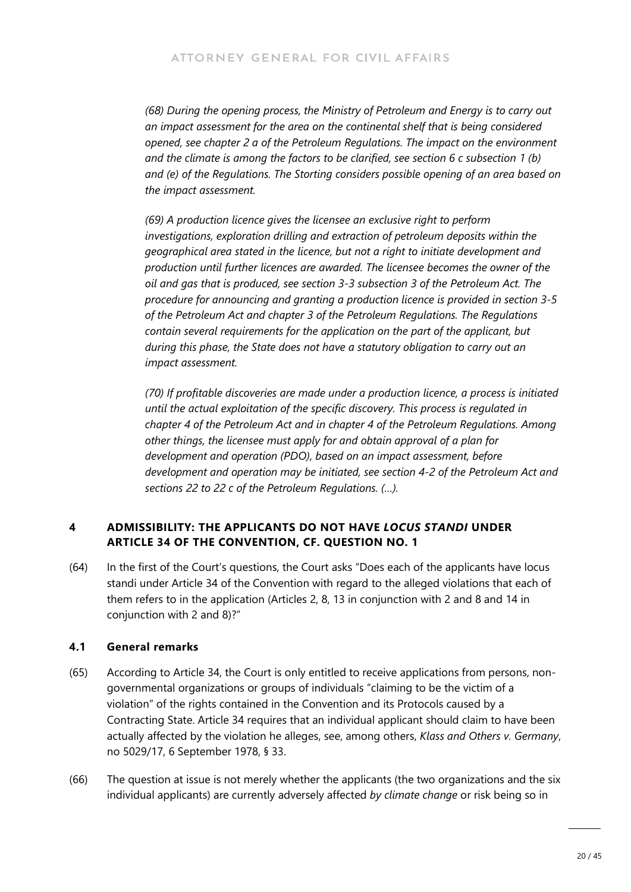*(68) During the opening process, the Ministry of Petroleum and Energy is to carry out an impact assessment for the area on the continental shelf that is being considered opened, see chapter 2 a of the Petroleum Regulations. The impact on the environment and the climate is among the factors to be clarified, see section 6 c subsection 1 (b) and (e) of the Regulations. The Storting considers possible opening of an area based on the impact assessment.*

*(69) A production licence gives the licensee an exclusive right to perform investigations, exploration drilling and extraction of petroleum deposits within the geographical area stated in the licence, but not a right to initiate development and production until further licences are awarded. The licensee becomes the owner of the oil and gas that is produced, see section 3-3 subsection 3 of the Petroleum Act. The procedure for announcing and granting a production licence is provided in section 3-5 of the Petroleum Act and chapter 3 of the Petroleum Regulations. The Regulations contain several requirements for the application on the part of the applicant, but during this phase, the State does not have a statutory obligation to carry out an impact assessment.*

*(70) If profitable discoveries are made under a production licence, a process is initiated until the actual exploitation of the specific discovery. This process is regulated in chapter 4 of the Petroleum Act and in chapter 4 of the Petroleum Regulations. Among other things, the licensee must apply for and obtain approval of a plan for development and operation (PDO), based on an impact assessment, before development and operation may be initiated, see section 4-2 of the Petroleum Act and sections 22 to 22 c of the Petroleum Regulations. (…).*

#### **4 ADMISSIBILITY: THE APPLICANTS DO NOT HAVE** *LOCUS STANDI* **UNDER ARTICLE 34 OF THE CONVENTION, CF. QUESTION NO. 1**

(64) In the first of the Court's questions, the Court asks "Does each of the applicants have locus standi under Article 34 of the Convention with regard to the alleged violations that each of them refers to in the application (Articles 2, 8, 13 in conjunction with 2 and 8 and 14 in conjunction with 2 and 8)?"

#### **4.1 General remarks**

- (65) According to Article 34, the Court is only entitled to receive applications from persons, nongovernmental organizations or groups of individuals "claiming to be the victim of a violation" of the rights contained in the Convention and its Protocols caused by a Contracting State. Article 34 requires that an individual applicant should claim to have been actually affected by the violation he alleges, see, among others, *Klass and Others v. Germany*, no 5029/17, 6 September 1978, § 33.
- (66) The question at issue is not merely whether the applicants (the two organizations and the six individual applicants) are currently adversely affected *by climate change* or risk being so in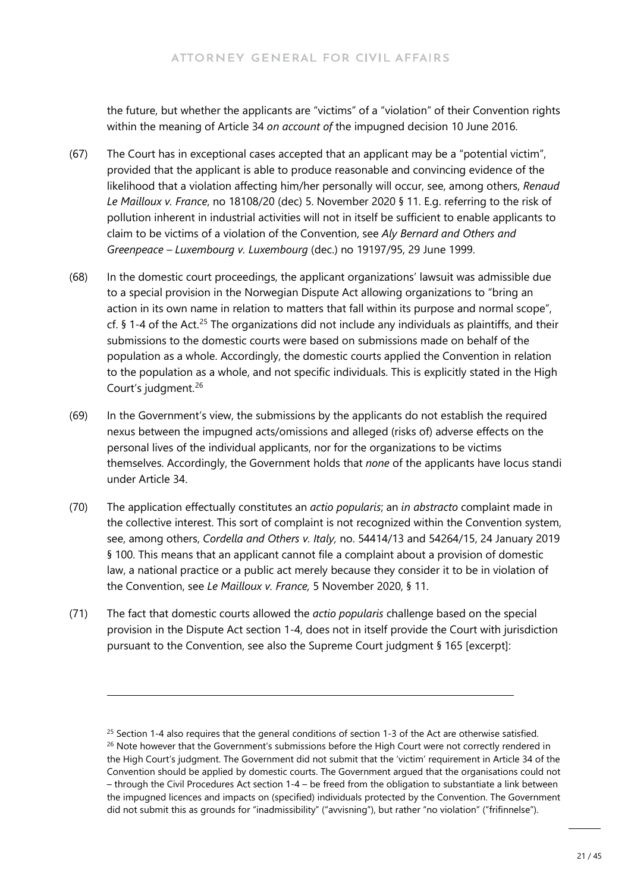the future, but whether the applicants are "victims" of a "violation" of their Convention rights within the meaning of Article 34 *on account of* the impugned decision 10 June 2016.

- (67) The Court has in exceptional cases accepted that an applicant may be a "potential victim", provided that the applicant is able to produce reasonable and convincing evidence of the likelihood that a violation affecting him/her personally will occur, see, among others, *Renaud Le Mailloux v. France*, no 18108/20 (dec) 5. November 2020 § 11. E.g. referring to the risk of pollution inherent in industrial activities will not in itself be sufficient to enable applicants to claim to be victims of a violation of the Convention, see *Aly Bernard and Others and Greenpeace – Luxembourg v. Luxembourg* (dec.) no 19197/95, 29 June 1999.
- (68) In the domestic court proceedings, the applicant organizations' lawsuit was admissible due to a special provision in the Norwegian Dispute Act allowing organizations to "bring an action in its own name in relation to matters that fall within its purpose and normal scope", cf.  $\S$  1-4 of the Act.<sup>[25](#page-20-0)</sup> The organizations did not include any individuals as plaintiffs, and their submissions to the domestic courts were based on submissions made on behalf of the population as a whole. Accordingly, the domestic courts applied the Convention in relation to the population as a whole, and not specific individuals. This is explicitly stated in the High Court's judgment.<sup>[26](#page-20-1)</sup>
- (69) In the Government's view, the submissions by the applicants do not establish the required nexus between the impugned acts/omissions and alleged (risks of) adverse effects on the personal lives of the individual applicants, nor for the organizations to be victims themselves. Accordingly, the Government holds that *none* of the applicants have locus standi under Article 34.
- (70) The application effectually constitutes an *actio popularis*; an *in abstracto* complaint made in the collective interest. This sort of complaint is not recognized within the Convention system, see, among others, *Cordella and Others v. Italy,* no. 54414/13 and 54264/15, 24 January 2019 § 100. This means that an applicant cannot file a complaint about a provision of domestic law, a national practice or a public act merely because they consider it to be in violation of the Convention, see *Le Mailloux v. France,* 5 November 2020, § 11.
- (71) The fact that domestic courts allowed the *actio popularis* challenge based on the special provision in the Dispute Act section 1-4, does not in itself provide the Court with jurisdiction pursuant to the Convention, see also the Supreme Court judgment § 165 [excerpt]:

<span id="page-20-1"></span><span id="page-20-0"></span><sup>&</sup>lt;sup>25</sup> Section 1-4 also requires that the general conditions of section 1-3 of the Act are otherwise satisfied. <sup>26</sup> Note however that the Government's submissions before the High Court were not correctly rendered in the High Court's judgment. The Government did not submit that the 'victim' requirement in Article 34 of the Convention should be applied by domestic courts. The Government argued that the organisations could not – through the Civil Procedures Act section 1-4 – be freed from the obligation to substantiate a link between the impugned licences and impacts on (specified) individuals protected by the Convention. The Government did not submit this as grounds for "inadmissibility" ("avvisning"), but rather "no violation" ("frifinnelse").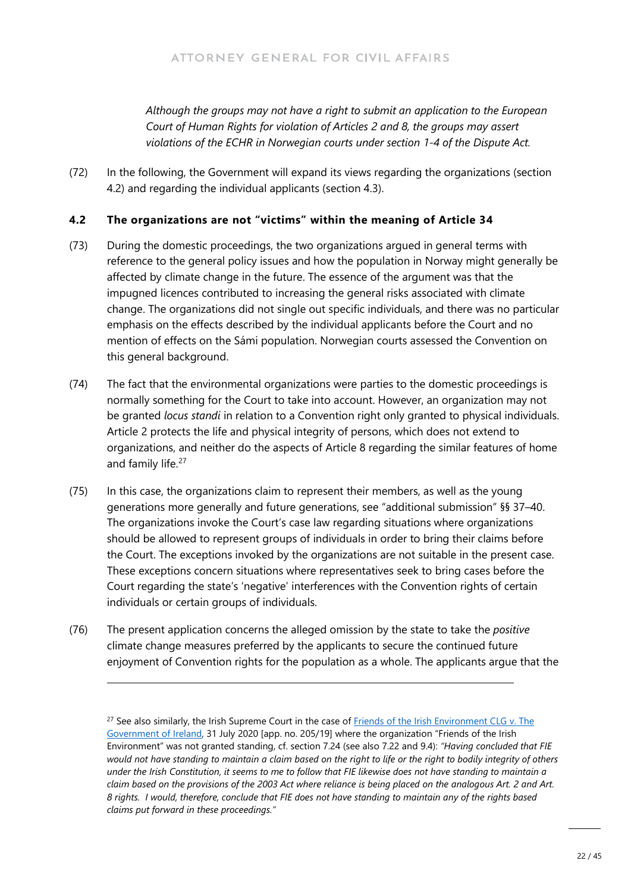*Although the groups may not have a right to submit an application to the European Court of Human Rights for violation of Articles 2 and 8, the groups may assert violations of the ECHR in Norwegian courts under section 1-4 of the Dispute Act.*

(72) In the following, the Government will expand its views regarding the organizations (section 4.2) and regarding the individual applicants (section 4.3).

#### **4.2 The organizations are not "victims" within the meaning of Article 34**

- (73) During the domestic proceedings, the two organizations argued in general terms with reference to the general policy issues and how the population in Norway might generally be affected by climate change in the future. The essence of the argument was that the impugned licences contributed to increasing the general risks associated with climate change. The organizations did not single out specific individuals, and there was no particular emphasis on the effects described by the individual applicants before the Court and no mention of effects on the Sámi population. Norwegian courts assessed the Convention on this general background.
- (74) The fact that the environmental organizations were parties to the domestic proceedings is normally something for the Court to take into account. However, an organization may not be granted *locus standi* in relation to a Convention right only granted to physical individuals. Article 2 protects the life and physical integrity of persons, which does not extend to organizations, and neither do the aspects of Article 8 regarding the similar features of home and family life.<sup>[27](#page-21-0)</sup>
- (75) In this case, the organizations claim to represent their members, as well as the young generations more generally and future generations, see "additional submission" §§ 37–40. The organizations invoke the Court's case law regarding situations where organizations should be allowed to represent groups of individuals in order to bring their claims before the Court. The exceptions invoked by the organizations are not suitable in the present case. These exceptions concern situations where representatives seek to bring cases before the Court regarding the state's 'negative' interferences with the Convention rights of certain individuals or certain groups of individuals.
- (76) The present application concerns the alleged omission by the state to take the *positive* climate change measures preferred by the applicants to secure the continued future enjoyment of Convention rights for the population as a whole. The applicants argue that the

<span id="page-21-0"></span><sup>&</sup>lt;sup>27</sup> See also similarly, the Irish Supreme Court in the case of Friends of the Irish Environment CLG v. The [Government of Ireland,](https://www.courts.ie/view/judgments/681b8633-3f57-41b5-9362-8cbc8e7d9215/981c098a-462b-4a9a-9941-5d601903c9af/2020_IESC_49.pdf/pdf) 31 July 2020 [app. no. 205/19] where the organization "Friends of the Irish Environment" was not granted standing, cf. section 7.24 (see also 7.22 and 9.4): *"Having concluded that FIE would not have standing to maintain a claim based on the right to life or the right to bodily integrity of others under the Irish Constitution, it seems to me to follow that FIE likewise does not have standing to maintain a claim based on the provisions of the 2003 Act where reliance is being placed on the analogous Art. 2 and Art. 8 rights. I would, therefore, conclude that FIE does not have standing to maintain any of the rights based claims put forward in these proceedings."*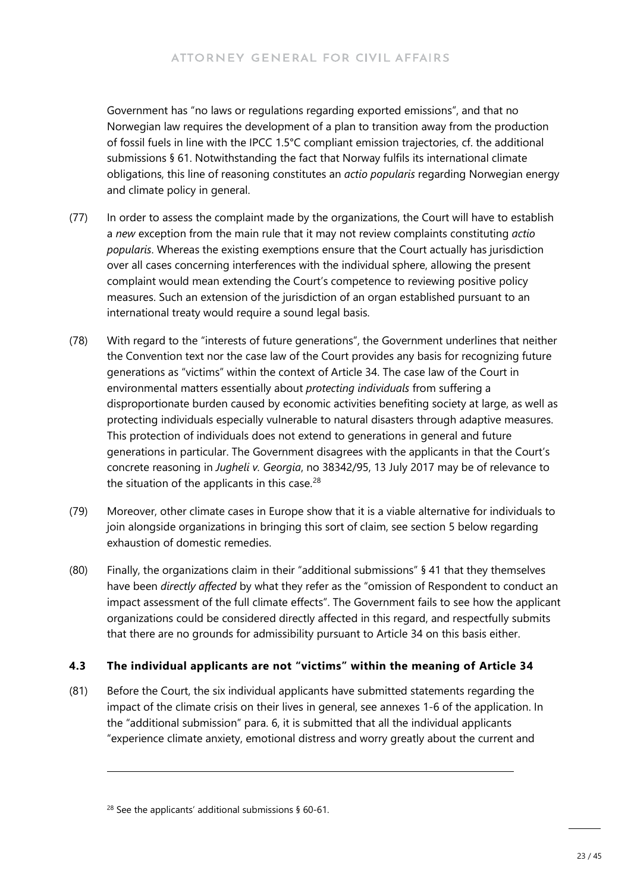Government has "no laws or regulations regarding exported emissions", and that no Norwegian law requires the development of a plan to transition away from the production of fossil fuels in line with the IPCC 1.5°C compliant emission trajectories, cf. the additional submissions § 61. Notwithstanding the fact that Norway fulfils its international climate obligations, this line of reasoning constitutes an *actio popularis* regarding Norwegian energy and climate policy in general.

- (77) In order to assess the complaint made by the organizations, the Court will have to establish a *new* exception from the main rule that it may not review complaints constituting *actio popularis*. Whereas the existing exemptions ensure that the Court actually has jurisdiction over all cases concerning interferences with the individual sphere, allowing the present complaint would mean extending the Court's competence to reviewing positive policy measures. Such an extension of the jurisdiction of an organ established pursuant to an international treaty would require a sound legal basis.
- (78) With regard to the "interests of future generations", the Government underlines that neither the Convention text nor the case law of the Court provides any basis for recognizing future generations as "victims" within the context of Article 34. The case law of the Court in environmental matters essentially about *protecting individuals* from suffering a disproportionate burden caused by economic activities benefiting society at large, as well as protecting individuals especially vulnerable to natural disasters through adaptive measures. This protection of individuals does not extend to generations in general and future generations in particular. The Government disagrees with the applicants in that the Court's concrete reasoning in *Jugheli v. Georgia*, no 38342/95, 13 July 2017 may be of relevance to the situation of the applicants in this case. $28$
- (79) Moreover, other climate cases in Europe show that it is a viable alternative for individuals to join alongside organizations in bringing this sort of claim, see section 5 below regarding exhaustion of domestic remedies.
- (80) Finally, the organizations claim in their "additional submissions" § 41 that they themselves have been *directly affected* by what they refer as the "omission of Respondent to conduct an impact assessment of the full climate effects". The Government fails to see how the applicant organizations could be considered directly affected in this regard, and respectfully submits that there are no grounds for admissibility pursuant to Article 34 on this basis either.

### **4.3 The individual applicants are not "victims" within the meaning of Article 34**

(81) Before the Court, the six individual applicants have submitted statements regarding the impact of the climate crisis on their lives in general, see annexes 1-6 of the application. In the "additional submission" para. 6, it is submitted that all the individual applicants "experience climate anxiety, emotional distress and worry greatly about the current and

<span id="page-22-0"></span><sup>28</sup> See the applicants' additional submissions § 60-61.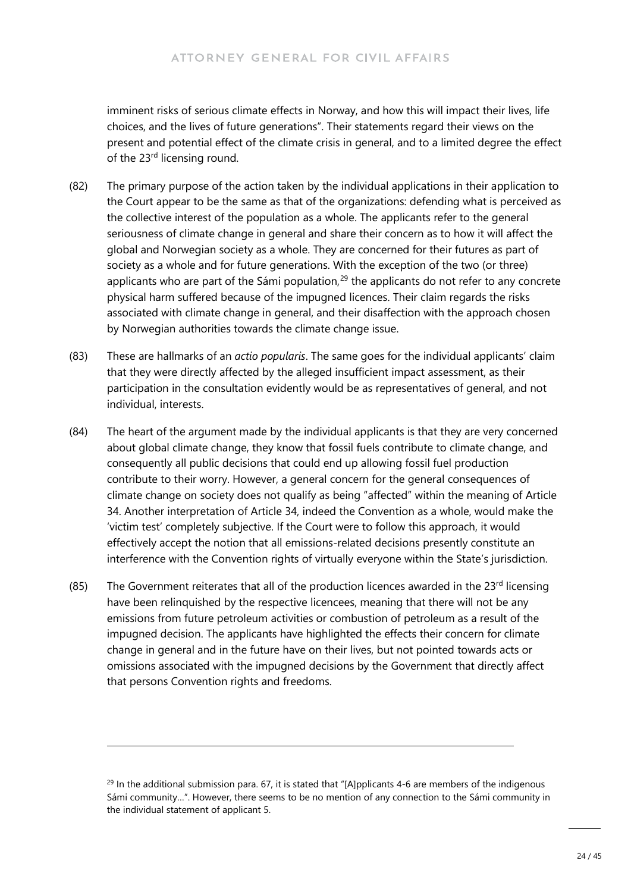imminent risks of serious climate effects in Norway, and how this will impact their lives, life choices, and the lives of future generations". Their statements regard their views on the present and potential effect of the climate crisis in general, and to a limited degree the effect of the 23<sup>rd</sup> licensing round.

- (82) The primary purpose of the action taken by the individual applications in their application to the Court appear to be the same as that of the organizations: defending what is perceived as the collective interest of the population as a whole. The applicants refer to the general seriousness of climate change in general and share their concern as to how it will affect the global and Norwegian society as a whole. They are concerned for their futures as part of society as a whole and for future generations. With the exception of the two (or three) applicants who are part of the Sámi population, $^{29}$  $^{29}$  $^{29}$  the applicants do not refer to any concrete physical harm suffered because of the impugned licences. Their claim regards the risks associated with climate change in general, and their disaffection with the approach chosen by Norwegian authorities towards the climate change issue.
- (83) These are hallmarks of an *actio popularis*. The same goes for the individual applicants' claim that they were directly affected by the alleged insufficient impact assessment, as their participation in the consultation evidently would be as representatives of general, and not individual, interests.
- (84) The heart of the argument made by the individual applicants is that they are very concerned about global climate change, they know that fossil fuels contribute to climate change, and consequently all public decisions that could end up allowing fossil fuel production contribute to their worry. However, a general concern for the general consequences of climate change on society does not qualify as being "affected" within the meaning of Article 34. Another interpretation of Article 34, indeed the Convention as a whole, would make the 'victim test' completely subjective. If the Court were to follow this approach, it would effectively accept the notion that all emissions-related decisions presently constitute an interference with the Convention rights of virtually everyone within the State's jurisdiction.
- $(85)$  The Government reiterates that all of the production licences awarded in the 23<sup>rd</sup> licensing have been relinquished by the respective licencees, meaning that there will not be any emissions from future petroleum activities or combustion of petroleum as a result of the impugned decision. The applicants have highlighted the effects their concern for climate change in general and in the future have on their lives, but not pointed towards acts or omissions associated with the impugned decisions by the Government that directly affect that persons Convention rights and freedoms.

<span id="page-23-0"></span> $^{29}$  In the additional submission para. 67, it is stated that "[A]pplicants 4-6 are members of the indigenous Sámi community…". However, there seems to be no mention of any connection to the Sámi community in the individual statement of applicant 5.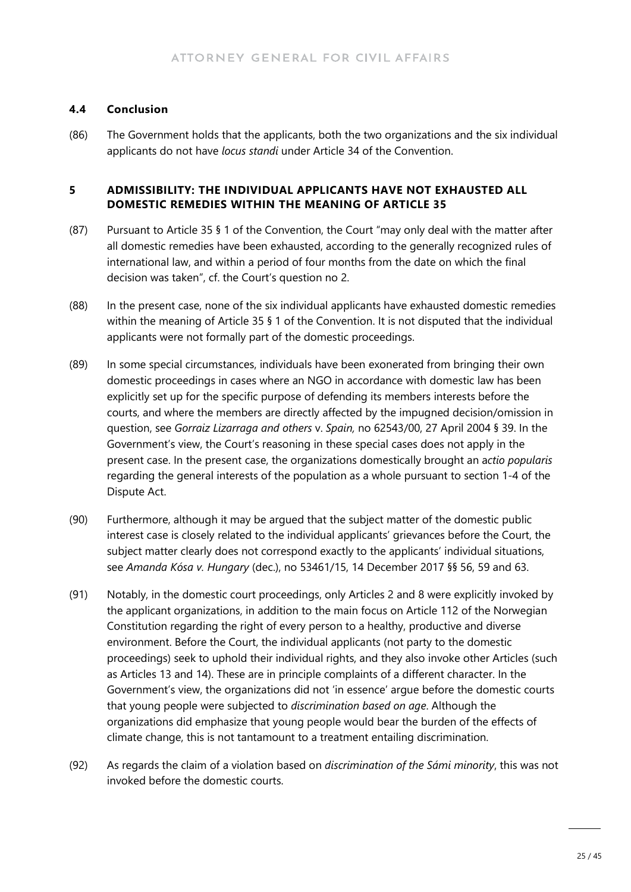#### **4.4 Conclusion**

(86) The Government holds that the applicants, both the two organizations and the six individual applicants do not have *locus standi* under Article 34 of the Convention.

#### **5 ADMISSIBILITY: THE INDIVIDUAL APPLICANTS HAVE NOT EXHAUSTED ALL DOMESTIC REMEDIES WITHIN THE MEANING OF ARTICLE 35**

- (87) Pursuant to Article 35 § 1 of the Convention, the Court "may only deal with the matter after all domestic remedies have been exhausted, according to the generally recognized rules of international law, and within a period of four months from the date on which the final decision was taken", cf. the Court's question no 2.
- (88) In the present case, none of the six individual applicants have exhausted domestic remedies within the meaning of Article 35 § 1 of the Convention. It is not disputed that the individual applicants were not formally part of the domestic proceedings.
- (89) In some special circumstances, individuals have been exonerated from bringing their own domestic proceedings in cases where an NGO in accordance with domestic law has been explicitly set up for the specific purpose of defending its members interests before the courts, and where the members are directly affected by the impugned decision/omission in question, see *Gorraiz Lizarraga and others* v. *Spain,* no 62543/00, 27 April 2004 § 39. In the Government's view, the Court's reasoning in these special cases does not apply in the present case. In the present case, the organizations domestically brought an a*ctio popularis* regarding the general interests of the population as a whole pursuant to section 1-4 of the Dispute Act.
- (90) Furthermore, although it may be argued that the subject matter of the domestic public interest case is closely related to the individual applicants' grievances before the Court, the subject matter clearly does not correspond exactly to the applicants' individual situations, see *Amanda Kósa v. Hungary* (dec.), no 53461/15, 14 December 2017 §§ 56, 59 and 63.
- (91) Notably, in the domestic court proceedings, only Articles 2 and 8 were explicitly invoked by the applicant organizations, in addition to the main focus on Article 112 of the Norwegian Constitution regarding the right of every person to a healthy, productive and diverse environment. Before the Court, the individual applicants (not party to the domestic proceedings) seek to uphold their individual rights, and they also invoke other Articles (such as Articles 13 and 14). These are in principle complaints of a different character. In the Government's view, the organizations did not 'in essence' argue before the domestic courts that young people were subjected to *discrimination based on age*. Although the organizations did emphasize that young people would bear the burden of the effects of climate change, this is not tantamount to a treatment entailing discrimination.
- (92) As regards the claim of a violation based on *discrimination of the Sámi minority*, this was not invoked before the domestic courts.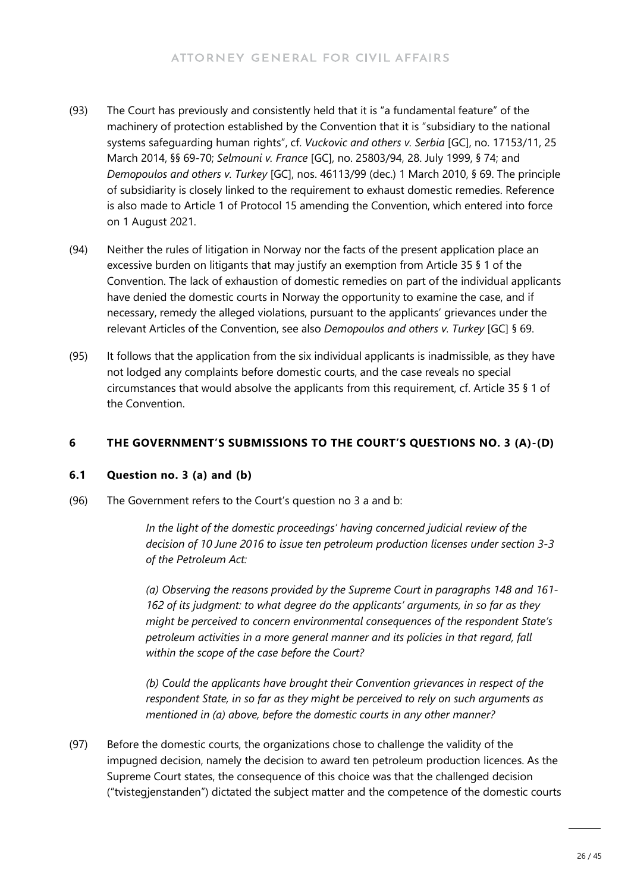- (93) The Court has previously and consistently held that it is "a fundamental feature" of the machinery of protection established by the Convention that it is "subsidiary to the national systems safeguarding human rights", cf. *Vuckovic and others v. Serbia* [GC], no. 17153/11, 25 March 2014, §§ 69-70; *Selmouni v. France* [GC], no. 25803/94, 28. July 1999, § 74; and *Demopoulos and others v. Turkey* [GC], nos. 46113/99 (dec.) 1 March 2010, § 69. The principle of subsidiarity is closely linked to the requirement to exhaust domestic remedies. Reference is also made to Article 1 of Protocol 15 amending the Convention, which entered into force on 1 August 2021.
- (94) Neither the rules of litigation in Norway nor the facts of the present application place an excessive burden on litigants that may justify an exemption from Article 35 § 1 of the Convention. The lack of exhaustion of domestic remedies on part of the individual applicants have denied the domestic courts in Norway the opportunity to examine the case, and if necessary, remedy the alleged violations, pursuant to the applicants' grievances under the relevant Articles of the Convention, see also *Demopoulos and others v. Turkey* [GC] § 69.
- (95) It follows that the application from the six individual applicants is inadmissible, as they have not lodged any complaints before domestic courts, and the case reveals no special circumstances that would absolve the applicants from this requirement, cf. Article 35 § 1 of the Convention.

#### **6 THE GOVERNMENT'S SUBMISSIONS TO THE COURT'S QUESTIONS NO. 3 (A)-(D)**

#### **6.1 Question no. 3 (a) and (b)**

(96) The Government refers to the Court's question no 3 a and b:

*In the light of the domestic proceedings' having concerned judicial review of the decision of 10 June 2016 to issue ten petroleum production licenses under section 3-3 of the Petroleum Act:*

*(a) Observing the reasons provided by the Supreme Court in paragraphs 148 and 161- 162 of its judgment: to what degree do the applicants' arguments, in so far as they might be perceived to concern environmental consequences of the respondent State's petroleum activities in a more general manner and its policies in that regard, fall within the scope of the case before the Court?*

*(b) Could the applicants have brought their Convention grievances in respect of the respondent State, in so far as they might be perceived to rely on such arguments as mentioned in (a) above, before the domestic courts in any other manner?*

(97) Before the domestic courts, the organizations chose to challenge the validity of the impugned decision, namely the decision to award ten petroleum production licences. As the Supreme Court states, the consequence of this choice was that the challenged decision ("tvistegjenstanden") dictated the subject matter and the competence of the domestic courts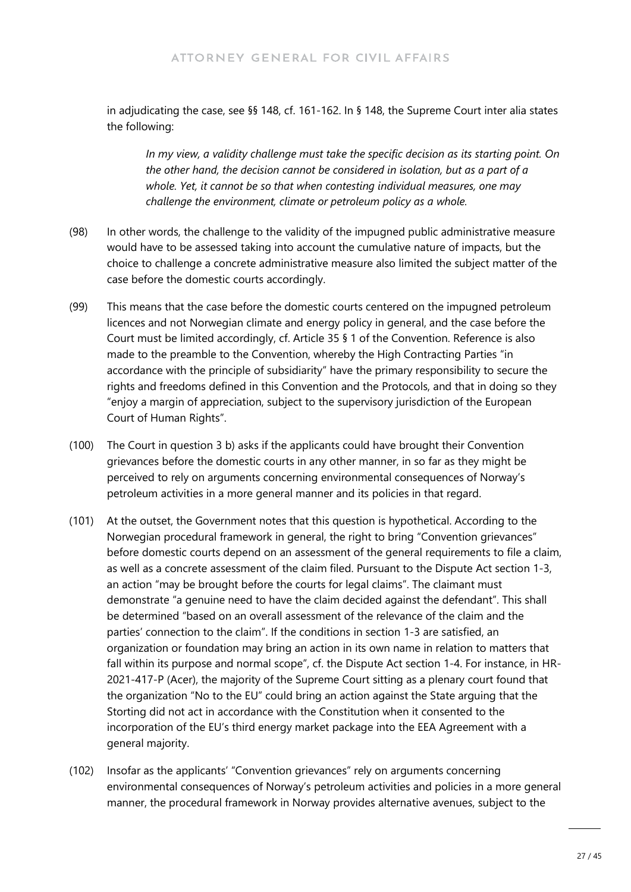in adjudicating the case, see §§ 148, cf. 161-162. In § 148, the Supreme Court inter alia states the following:

*In my view, a validity challenge must take the specific decision as its starting point. On the other hand, the decision cannot be considered in isolation, but as a part of a whole. Yet, it cannot be so that when contesting individual measures, one may challenge the environment, climate or petroleum policy as a whole.* 

- (98) In other words, the challenge to the validity of the impugned public administrative measure would have to be assessed taking into account the cumulative nature of impacts, but the choice to challenge a concrete administrative measure also limited the subject matter of the case before the domestic courts accordingly.
- (99) This means that the case before the domestic courts centered on the impugned petroleum licences and not Norwegian climate and energy policy in general, and the case before the Court must be limited accordingly, cf. Article 35 § 1 of the Convention. Reference is also made to the preamble to the Convention, whereby the High Contracting Parties "in accordance with the principle of subsidiarity" have the primary responsibility to secure the rights and freedoms defined in this Convention and the Protocols, and that in doing so they "enjoy a margin of appreciation, subject to the supervisory jurisdiction of the European Court of Human Rights".
- (100) The Court in question 3 b) asks if the applicants could have brought their Convention grievances before the domestic courts in any other manner, in so far as they might be perceived to rely on arguments concerning environmental consequences of Norway's petroleum activities in a more general manner and its policies in that regard.
- (101) At the outset, the Government notes that this question is hypothetical. According to the Norwegian procedural framework in general, the right to bring "Convention grievances" before domestic courts depend on an assessment of the general requirements to file a claim, as well as a concrete assessment of the claim filed. Pursuant to the Dispute Act section 1-3, an action "may be brought before the courts for legal claims". The claimant must demonstrate "a genuine need to have the claim decided against the defendant". This shall be determined "based on an overall assessment of the relevance of the claim and the parties' connection to the claim". If the conditions in section 1-3 are satisfied, an organization or foundation may bring an action in its own name in relation to matters that fall within its purpose and normal scope", cf. the Dispute Act section 1-4. For instance, in HR-2021-417-P (Acer), the majority of the Supreme Court sitting as a plenary court found that the organization "No to the EU" could bring an action against the State arguing that the Storting did not act in accordance with the Constitution when it consented to the incorporation of the EU's third energy market package into the EEA Agreement with a general majority.
- (102) Insofar as the applicants' "Convention grievances" rely on arguments concerning environmental consequences of Norway's petroleum activities and policies in a more general manner, the procedural framework in Norway provides alternative avenues, subject to the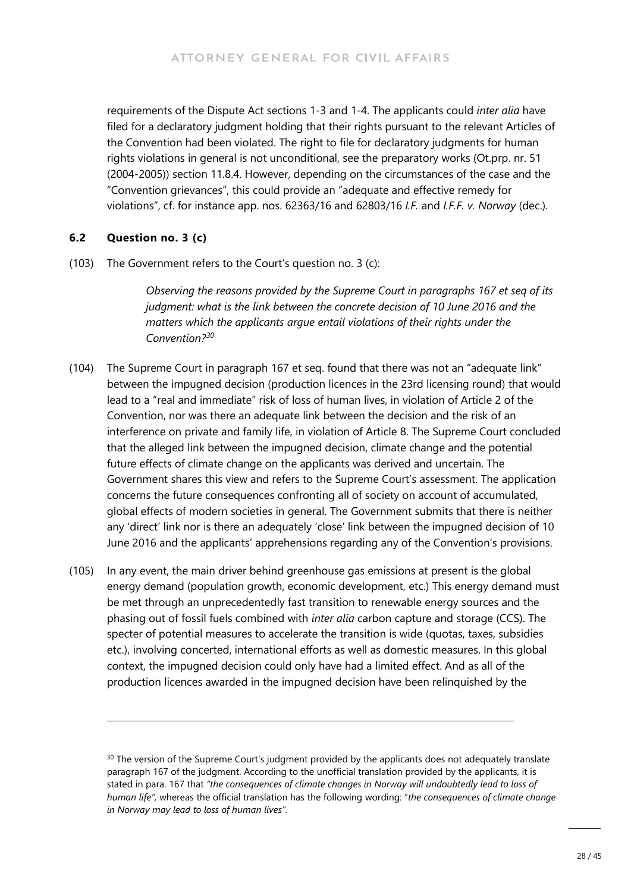requirements of the Dispute Act sections 1-3 and 1-4. The applicants could *inter alia* have filed for a declaratory judgment holding that their rights pursuant to the relevant Articles of the Convention had been violated. The right to file for declaratory judgments for human rights violations in general is not unconditional, see the preparatory works (Ot.prp. nr. 51 (2004-2005)) section 11.8.4. However, depending on the circumstances of the case and the "Convention grievances", this could provide an "adequate and effective remedy for violations", cf. for instance app. nos. 62363/16 and 62803/16 *I.F.* and *I.F.F. v. Norway* (dec.).

#### **6.2 Question no. 3 (c)**

(103) The Government refers to the Court's question no. 3 (c):

*Observing the reasons provided by the Supreme Court in paragraphs 167 et seq of its judgment: what is the link between the concrete decision of 10 June 2016 and the matters which the applicants argue entail violations of their rights under the Convention?[30](#page-27-0)*

- (104) The Supreme Court in paragraph 167 et seq. found that there was not an "adequate link" between the impugned decision (production licences in the 23rd licensing round) that would lead to a "real and immediate" risk of loss of human lives, in violation of Article 2 of the Convention, nor was there an adequate link between the decision and the risk of an interference on private and family life, in violation of Article 8. The Supreme Court concluded that the alleged link between the impugned decision, climate change and the potential future effects of climate change on the applicants was derived and uncertain. The Government shares this view and refers to the Supreme Court's assessment. The application concerns the future consequences confronting all of society on account of accumulated, global effects of modern societies in general. The Government submits that there is neither any 'direct' link nor is there an adequately 'close' link between the impugned decision of 10 June 2016 and the applicants' apprehensions regarding any of the Convention's provisions.
- (105) In any event, the main driver behind greenhouse gas emissions at present is the global energy demand (population growth, economic development, etc.) This energy demand must be met through an unprecedentedly fast transition to renewable energy sources and the phasing out of fossil fuels combined with *inter alia* carbon capture and storage (CCS). The specter of potential measures to accelerate the transition is wide (quotas, taxes, subsidies etc.), involving concerted, international efforts as well as domestic measures. In this global context, the impugned decision could only have had a limited effect. And as all of the production licences awarded in the impugned decision have been relinquished by the

<span id="page-27-0"></span><sup>&</sup>lt;sup>30</sup> The version of the Supreme Court's judgment provided by the applicants does not adequately translate paragraph 167 of the judgment. According to the unofficial translation provided by the applicants, it is stated in para. 167 that *"the consequences of climate changes in Norway will undoubtedly lead to loss of human life",* whereas the official translation has the following wording: "*the consequences of climate change in Norway may lead to loss of human lives".*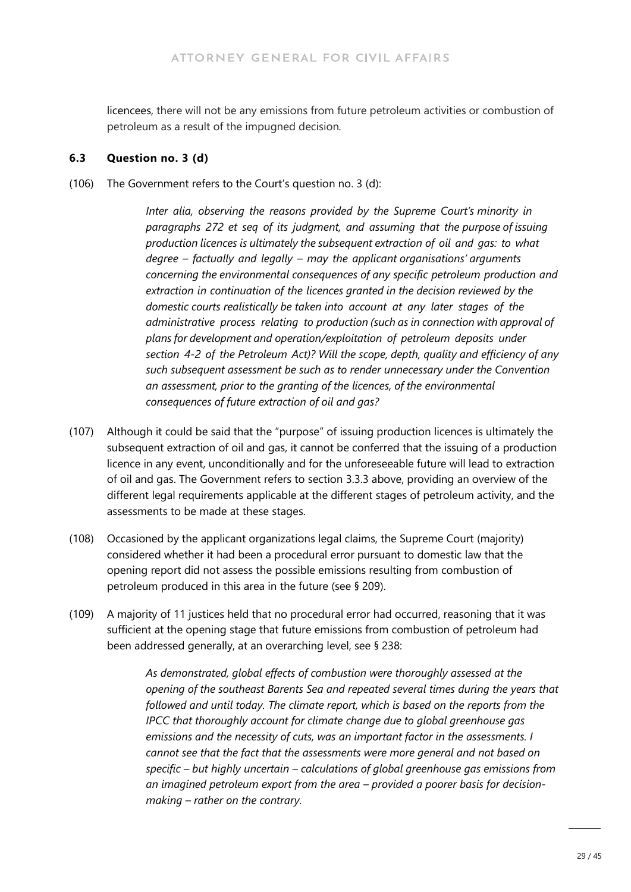licencees, there will not be any emissions from future petroleum activities or combustion of petroleum as a result of the impugned decision*.*

#### **6.3 Question no. 3 (d)**

(106) The Government refers to the Court's question no. 3 (d):

*Inter alia, observing the reasons provided by the Supreme Court's minority in paragraphs 272 et seq of its judgment, and assuming that the purpose of issuing production licences is ultimately the subsequent extraction of oil and gas: to what degree – factually and legally – may the applicant organisations' arguments concerning the environmental consequences of any specific petroleum production and extraction in continuation of the licences granted in the decision reviewed by the domestic courts realistically be taken into account at any later stages of the administrative process relating to production (such as in connection with approval of plans for development and operation/exploitation of petroleum deposits under section 4-2 of the Petroleum Act)? Will the scope, depth, quality and efficiency of any such subsequent assessment be such as to render unnecessary under the Convention an assessment, prior to the granting of the licences, of the environmental consequences of future extraction of oil and gas?*

- (107) Although it could be said that the "purpose" of issuing production licences is ultimately the subsequent extraction of oil and gas, it cannot be conferred that the issuing of a production licence in any event, unconditionally and for the unforeseeable future will lead to extraction of oil and gas. The Government refers to section 3.3.3 above, providing an overview of the different legal requirements applicable at the different stages of petroleum activity, and the assessments to be made at these stages.
- (108) Occasioned by the applicant organizations legal claims, the Supreme Court (majority) considered whether it had been a procedural error pursuant to domestic law that the opening report did not assess the possible emissions resulting from combustion of petroleum produced in this area in the future (see § 209).
- (109) A majority of 11 justices held that no procedural error had occurred, reasoning that it was sufficient at the opening stage that future emissions from combustion of petroleum had been addressed generally, at an overarching level, see § 238:

*As demonstrated, global effects of combustion were thoroughly assessed at the opening of the southeast Barents Sea and repeated several times during the years that followed and until today. The climate report, which is based on the reports from the IPCC that thoroughly account for climate change due to global greenhouse gas emissions and the necessity of cuts, was an important factor in the assessments. I cannot see that the fact that the assessments were more general and not based on specific – but highly uncertain – calculations of global greenhouse gas emissions from an imagined petroleum export from the area – provided a poorer basis for decisionmaking – rather on the contrary.*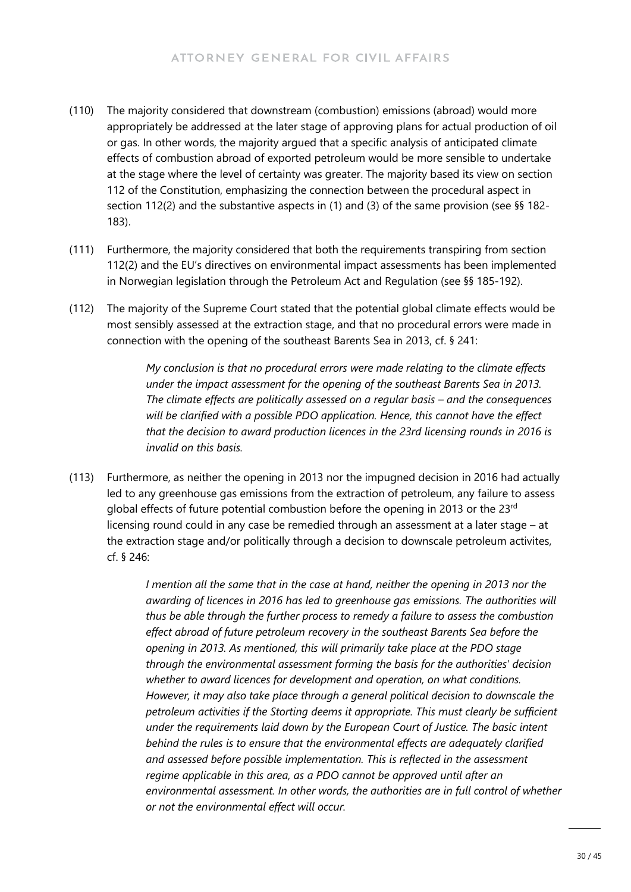- (110) The majority considered that downstream (combustion) emissions (abroad) would more appropriately be addressed at the later stage of approving plans for actual production of oil or gas. In other words, the majority argued that a specific analysis of anticipated climate effects of combustion abroad of exported petroleum would be more sensible to undertake at the stage where the level of certainty was greater. The majority based its view on section 112 of the Constitution, emphasizing the connection between the procedural aspect in section 112(2) and the substantive aspects in (1) and (3) of the same provision (see §§ 182- 183).
- (111) Furthermore, the majority considered that both the requirements transpiring from section 112(2) and the EU's directives on environmental impact assessments has been implemented in Norwegian legislation through the Petroleum Act and Regulation (see §§ 185-192).
- (112) The majority of the Supreme Court stated that the potential global climate effects would be most sensibly assessed at the extraction stage, and that no procedural errors were made in connection with the opening of the southeast Barents Sea in 2013, cf. § 241:

*My conclusion is that no procedural errors were made relating to the climate effects under the impact assessment for the opening of the southeast Barents Sea in 2013. The climate effects are politically assessed on a regular basis – and the consequences will be clarified with a possible PDO application. Hence, this cannot have the effect that the decision to award production licences in the 23rd licensing rounds in 2016 is invalid on this basis.* 

(113) Furthermore, as neither the opening in 2013 nor the impugned decision in 2016 had actually led to any greenhouse gas emissions from the extraction of petroleum, any failure to assess global effects of future potential combustion before the opening in 2013 or the 23rd licensing round could in any case be remedied through an assessment at a later stage – at the extraction stage and/or politically through a decision to downscale petroleum activites, cf. § 246:

> *I mention all the same that in the case at hand, neither the opening in 2013 nor the awarding of licences in 2016 has led to greenhouse gas emissions. The authorities will thus be able through the further process to remedy a failure to assess the combustion effect abroad of future petroleum recovery in the southeast Barents Sea before the opening in 2013. As mentioned, this will primarily take place at the PDO stage through the environmental assessment forming the basis for the authorities' decision whether to award licences for development and operation, on what conditions. However, it may also take place through a general political decision to downscale the petroleum activities if the Storting deems it appropriate. This must clearly be sufficient under the requirements laid down by the European Court of Justice. The basic intent behind the rules is to ensure that the environmental effects are adequately clarified and assessed before possible implementation. This is reflected in the assessment regime applicable in this area, as a PDO cannot be approved until after an environmental assessment. In other words, the authorities are in full control of whether or not the environmental effect will occur.*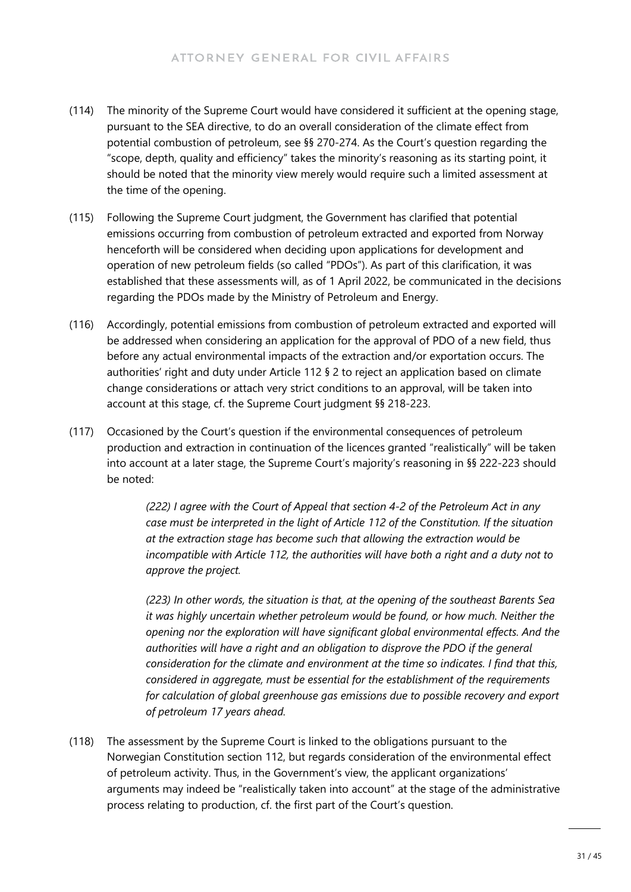- (114) The minority of the Supreme Court would have considered it sufficient at the opening stage, pursuant to the SEA directive, to do an overall consideration of the climate effect from potential combustion of petroleum, see §§ 270-274. As the Court's question regarding the "scope, depth, quality and efficiency" takes the minority's reasoning as its starting point, it should be noted that the minority view merely would require such a limited assessment at the time of the opening.
- (115) Following the Supreme Court judgment, the Government has clarified that potential emissions occurring from combustion of petroleum extracted and exported from Norway henceforth will be considered when deciding upon applications for development and operation of new petroleum fields (so called "PDOs"). As part of this clarification, it was established that these assessments will, as of 1 April 2022, be communicated in the decisions regarding the PDOs made by the Ministry of Petroleum and Energy.
- (116) Accordingly, potential emissions from combustion of petroleum extracted and exported will be addressed when considering an application for the approval of PDO of a new field, thus before any actual environmental impacts of the extraction and/or exportation occurs. The authorities' right and duty under Article 112 § 2 to reject an application based on climate change considerations or attach very strict conditions to an approval, will be taken into account at this stage, cf. the Supreme Court judgment §§ 218-223.
- (117) Occasioned by the Court's question if the environmental consequences of petroleum production and extraction in continuation of the licences granted "realistically" will be taken into account at a later stage, the Supreme Court's majority's reasoning in §§ 222-223 should be noted:

*(222) I agree with the Court of Appeal that section 4-2 of the Petroleum Act in any case must be interpreted in the light of Article 112 of the Constitution. If the situation at the extraction stage has become such that allowing the extraction would be incompatible with Article 112, the authorities will have both a right and a duty not to approve the project.*

*(223) In other words, the situation is that, at the opening of the southeast Barents Sea it was highly uncertain whether petroleum would be found, or how much. Neither the opening nor the exploration will have significant global environmental effects. And the authorities will have a right and an obligation to disprove the PDO if the general consideration for the climate and environment at the time so indicates. I find that this, considered in aggregate, must be essential for the establishment of the requirements for calculation of global greenhouse gas emissions due to possible recovery and export of petroleum 17 years ahead.*

(118) The assessment by the Supreme Court is linked to the obligations pursuant to the Norwegian Constitution section 112, but regards consideration of the environmental effect of petroleum activity. Thus, in the Government's view, the applicant organizations' arguments may indeed be "realistically taken into account" at the stage of the administrative process relating to production, cf. the first part of the Court's question.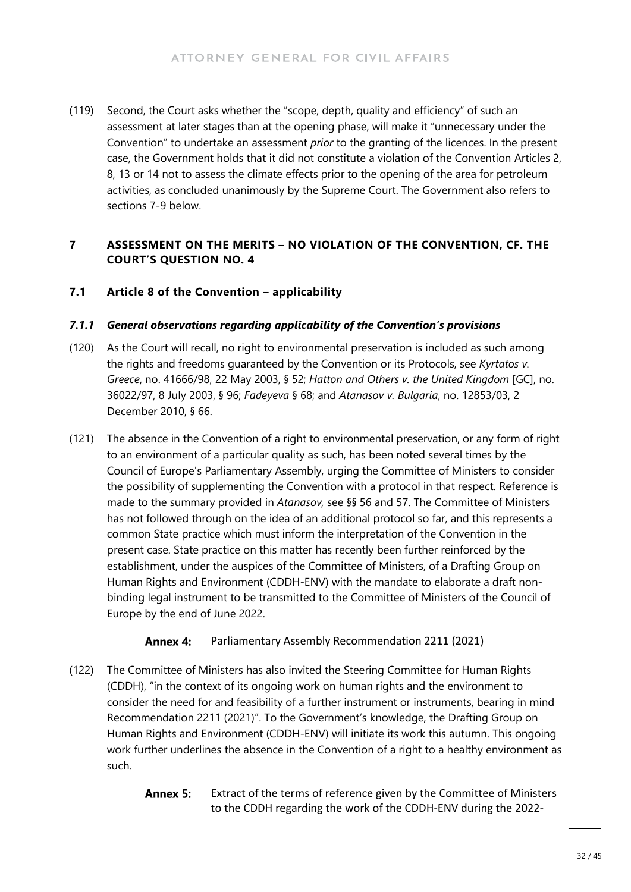(119) Second, the Court asks whether the "scope, depth, quality and efficiency" of such an assessment at later stages than at the opening phase, will make it "unnecessary under the Convention" to undertake an assessment *prior* to the granting of the licences. In the present case, the Government holds that it did not constitute a violation of the Convention Articles 2, 8, 13 or 14 not to assess the climate effects prior to the opening of the area for petroleum activities, as concluded unanimously by the Supreme Court. The Government also refers to sections 7-9 below.

#### **7 ASSESSMENT ON THE MERITS – NO VIOLATION OF THE CONVENTION, CF. THE COURT'S QUESTION NO. 4**

#### **7.1 Article 8 of the Convention – applicability**

#### *7.1.1 General observations regarding applicability of the Convention's provisions*

- (120) As the Court will recall, no right to environmental preservation is included as such among the rights and freedoms guaranteed by the Convention or its Protocols, see *Kyrtatos v. Greece*, no. 41666/98, 22 May 2003, § 52; *Hatton and Others v. the United Kingdom* [GC], no. 36022/97, 8 July 2003, § 96; *Fadeyeva* § 68; and *Atanasov v. Bulgaria*, no. 12853/03, 2 December 2010, § 66.
- (121) The absence in the Convention of a right to environmental preservation, or any form of right to an environment of a particular quality as such, has been noted several times by the Council of Europe's Parliamentary Assembly, urging the Committee of Ministers to consider the possibility of supplementing the Convention with a protocol in that respect. Reference is made to the summary provided in *Atanasov,* see §§ 56 and 57. The Committee of Ministers has not followed through on the idea of an additional protocol so far, and this represents a common State practice which must inform the interpretation of the Convention in the present case. State practice on this matter has recently been further reinforced by the establishment, under the auspices of the Committee of Ministers, of a Drafting Group on Human Rights and Environment (CDDH-ENV) with the mandate to elaborate a draft nonbinding legal instrument to be transmitted to the Committee of Ministers of the Council of Europe by the end of June 2022.

#### **Annex 4:** Parliamentary Assembly Recommendation 2211 (2021)

- (122) The Committee of Ministers has also invited the Steering Committee for Human Rights (CDDH), "in the context of its ongoing work on human rights and the environment to consider the need for and feasibility of a further instrument or instruments, bearing in mind Recommendation 2211 (2021)". To the Government's knowledge, the Drafting Group on Human Rights and Environment (CDDH-ENV) will initiate its work this autumn. This ongoing work further underlines the absence in the Convention of a right to a healthy environment as such.
	- **Annex 5:** Extract of the terms of reference given by the Committee of Ministers to the CDDH regarding the work of the CDDH-ENV during the 2022-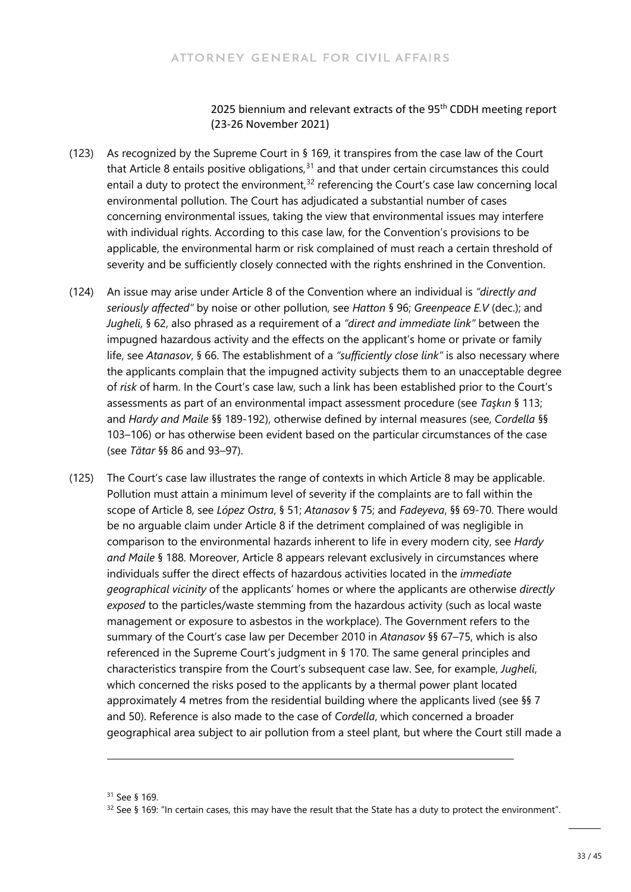2025 biennium and relevant extracts of the 95<sup>th</sup> CDDH meeting report (23-26 November 2021)

- (123) As recognized by the Supreme Court in § 169, it transpires from the case law of the Court that Article 8 entails positive obligations, $31$  and that under certain circumstances this could entail a duty to protect the environment, $32$  referencing the Court's case law concerning local environmental pollution. The Court has adjudicated a substantial number of cases concerning environmental issues, taking the view that environmental issues may interfere with individual rights. According to this case law, for the Convention's provisions to be applicable, the environmental harm or risk complained of must reach a certain threshold of severity and be sufficiently closely connected with the rights enshrined in the Convention.
- (124) An issue may arise under Article 8 of the Convention where an individual is *"directly and seriously affected"* by noise or other pollution, see *Hatton* § 96; *Greenpeace E.V* (dec.); and *Jugheli*, § 62, also phrased as a requirement of a *"direct and immediate link"* between the impugned hazardous activity and the effects on the applicant's home or private or family life, see *Atanasov*, § 66. The establishment of a *"sufficiently close link"* is also necessary where the applicants complain that the impugned activity subjects them to an unacceptable degree of *risk* of harm. In the Court's case law, such a link has been established prior to the Court's assessments as part of an environmental impact assessment procedure (see *Taşkın* § 113; and *Hardy and Maile* §§ 189-192), otherwise defined by internal measures (see, *Cordella* §§ 103–106) or has otherwise been evident based on the particular circumstances of the case (see *Tătar* §§ 86 and 93–97).
- (125) The Court's case law illustrates the range of contexts in which Article 8 may be applicable. Pollution must attain a minimum level of severity if the complaints are to fall within the scope of Article 8, see *López Ostra*, § 51; *Atanasov* § 75; and *Fadeyeva*, §§ 69-70. There would be no arguable claim under Article 8 if the detriment complained of was negligible in comparison to the environmental hazards inherent to life in every modern city, see *Hardy and Maile* § 188. Moreover, Article 8 appears relevant exclusively in circumstances where individuals suffer the direct effects of hazardous activities located in the *immediate geographical vicinity* of the applicants' homes or where the applicants are otherwise *directly exposed* to the particles/waste stemming from the hazardous activity (such as local waste management or exposure to asbestos in the workplace). The Government refers to the summary of the Court's case law per December 2010 in *Atanasov* §§ 67–75, which is also referenced in the Supreme Court's judgment in § 170. The same general principles and characteristics transpire from the Court's subsequent case law. See, for example, *Jugheli*, which concerned the risks posed to the applicants by a thermal power plant located approximately 4 metres from the residential building where the applicants lived (see §§ 7 and 50). Reference is also made to the case of *Cordella*, which concerned a broader geographical area subject to air pollution from a steel plant, but where the Court still made a

<span id="page-32-0"></span><sup>31</sup> See § 169.

<span id="page-32-1"></span> $32$  See § 169: "In certain cases, this may have the result that the State has a duty to protect the environment".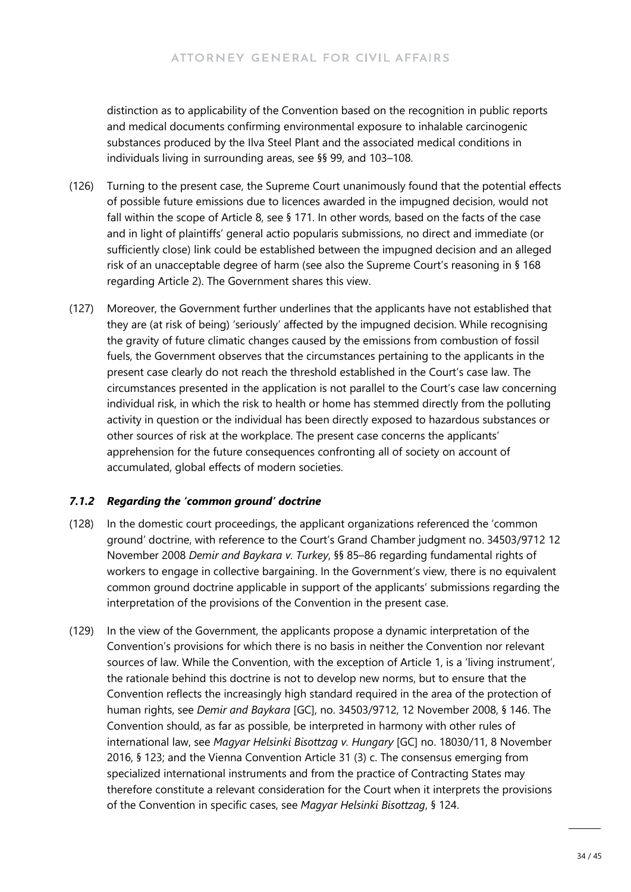distinction as to applicability of the Convention based on the recognition in public reports and medical documents confirming environmental exposure to inhalable carcinogenic substances produced by the Ilva Steel Plant and the associated medical conditions in individuals living in surrounding areas, see §§ 99, and 103–108.

- (126) Turning to the present case, the Supreme Court unanimously found that the potential effects of possible future emissions due to licences awarded in the impugned decision, would not fall within the scope of Article 8, see § 171. In other words, based on the facts of the case and in light of plaintiffs' general actio popularis submissions, no direct and immediate (or sufficiently close) link could be established between the impugned decision and an alleged risk of an unacceptable degree of harm (see also the Supreme Court's reasoning in § 168 regarding Article 2). The Government shares this view.
- (127) Moreover, the Government further underlines that the applicants have not established that they are (at risk of being) 'seriously' affected by the impugned decision. While recognising the gravity of future climatic changes caused by the emissions from combustion of fossil fuels, the Government observes that the circumstances pertaining to the applicants in the present case clearly do not reach the threshold established in the Court's case law. The circumstances presented in the application is not parallel to the Court's case law concerning individual risk, in which the risk to health or home has stemmed directly from the polluting activity in question or the individual has been directly exposed to hazardous substances or other sources of risk at the workplace. The present case concerns the applicants' apprehension for the future consequences confronting all of society on account of accumulated, global effects of modern societies.

#### *7.1.2 Regarding the 'common ground' doctrine*

- (128) In the domestic court proceedings, the applicant organizations referenced the 'common ground' doctrine, with reference to the Court's Grand Chamber judgment no. 34503/9712 12 November 2008 *Demir and Baykara v. Turkey*, §§ 85–86 regarding fundamental rights of workers to engage in collective bargaining. In the Government's view, there is no equivalent common ground doctrine applicable in support of the applicants' submissions regarding the interpretation of the provisions of the Convention in the present case.
- (129) In the view of the Government, the applicants propose a dynamic interpretation of the Convention's provisions for which there is no basis in neither the Convention nor relevant sources of law. While the Convention, with the exception of Article 1, is a 'living instrument', the rationale behind this doctrine is not to develop new norms, but to ensure that the Convention reflects the increasingly high standard required in the area of the protection of human rights, see *Demir and Baykara* [GC], no. 34503/9712, 12 November 2008, § 146. The Convention should, as far as possible, be interpreted in harmony with other rules of international law, see *Magyar Helsinki Bisottzag v. Hungary* [GC] no. 18030/11, 8 November 2016, § 123; and the Vienna Convention Article 31 (3) c. The consensus emerging from specialized international instruments and from the practice of Contracting States may therefore constitute a relevant consideration for the Court when it interprets the provisions of the Convention in specific cases, see *Magyar Helsinki Bisottzag*, § 124.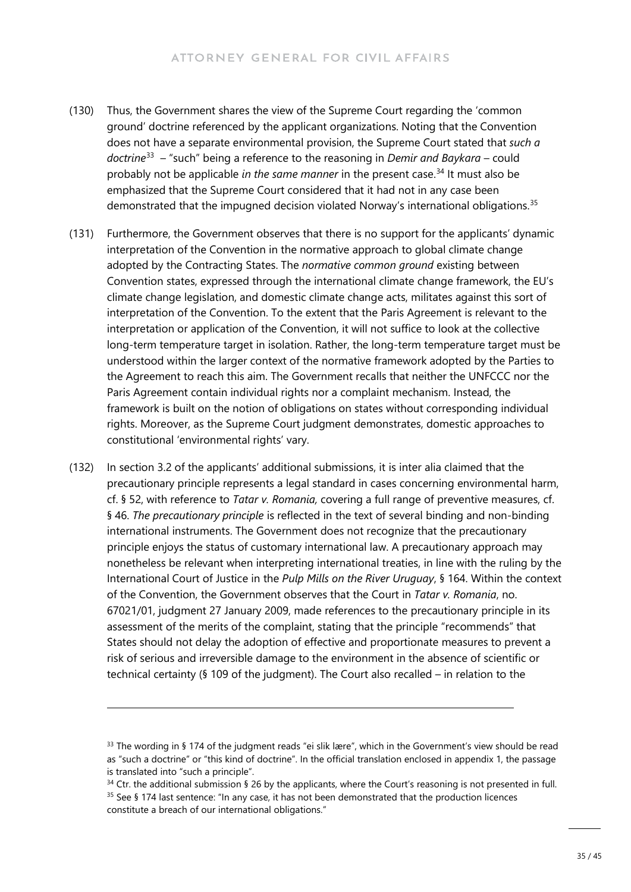- (130) Thus, the Government shares the view of the Supreme Court regarding the 'common ground' doctrine referenced by the applicant organizations. Noting that the Convention does not have a separate environmental provision, the Supreme Court stated that *such a doctrine*[33](#page-34-0) – "such" being a reference to the reasoning in *Demir and Baykara* – could probably not be applicable *in the same manner* in the present case.<sup>[34](#page-34-1)</sup> It must also be emphasized that the Supreme Court considered that it had not in any case been demonstrated that the impugned decision violated Norway's international obligations.<sup>[35](#page-34-2)</sup>
- (131) Furthermore, the Government observes that there is no support for the applicants' dynamic interpretation of the Convention in the normative approach to global climate change adopted by the Contracting States. The *normative common ground* existing between Convention states, expressed through the international climate change framework, the EU's climate change legislation, and domestic climate change acts, militates against this sort of interpretation of the Convention. To the extent that the Paris Agreement is relevant to the interpretation or application of the Convention, it will not suffice to look at the collective long-term temperature target in isolation. Rather, the long-term temperature target must be understood within the larger context of the normative framework adopted by the Parties to the Agreement to reach this aim. The Government recalls that neither the UNFCCC nor the Paris Agreement contain individual rights nor a complaint mechanism. Instead, the framework is built on the notion of obligations on states without corresponding individual rights. Moreover, as the Supreme Court judgment demonstrates, domestic approaches to constitutional 'environmental rights' vary.
- (132) In section 3.2 of the applicants' additional submissions, it is inter alia claimed that the precautionary principle represents a legal standard in cases concerning environmental harm, cf. § 52, with reference to *Tatar v. Romania,* covering a full range of preventive measures, cf. § 46. *The precautionary principle* is reflected in the text of several binding and non-binding international instruments. The Government does not recognize that the precautionary principle enjoys the status of customary international law. A precautionary approach may nonetheless be relevant when interpreting international treaties, in line with the ruling by the International Court of Justice in the *Pulp Mills on the River Uruguay*, § 164. Within the context of the Convention, the Government observes that the Court in *Tatar v. Romania*, no. 67021/01, judgment 27 January 2009, made references to the precautionary principle in its assessment of the merits of the complaint, stating that the principle "recommends" that States should not delay the adoption of effective and proportionate measures to prevent a risk of serious and irreversible damage to the environment in the absence of scientific or technical certainty (§ 109 of the judgment). The Court also recalled – in relation to the

<span id="page-34-0"></span><sup>33</sup> The wording in § 174 of the judgment reads "ei slik lære", which in the Government's view should be read as "such a doctrine" or "this kind of doctrine". In the official translation enclosed in appendix 1, the passage is translated into "such a principle".

<span id="page-34-1"></span> $34$  Ctr. the additional submission § 26 by the applicants, where the Court's reasoning is not presented in full. <sup>35</sup> See § 174 last sentence: "In any case, it has not been demonstrated that the production licences

<span id="page-34-2"></span>constitute a breach of our international obligations."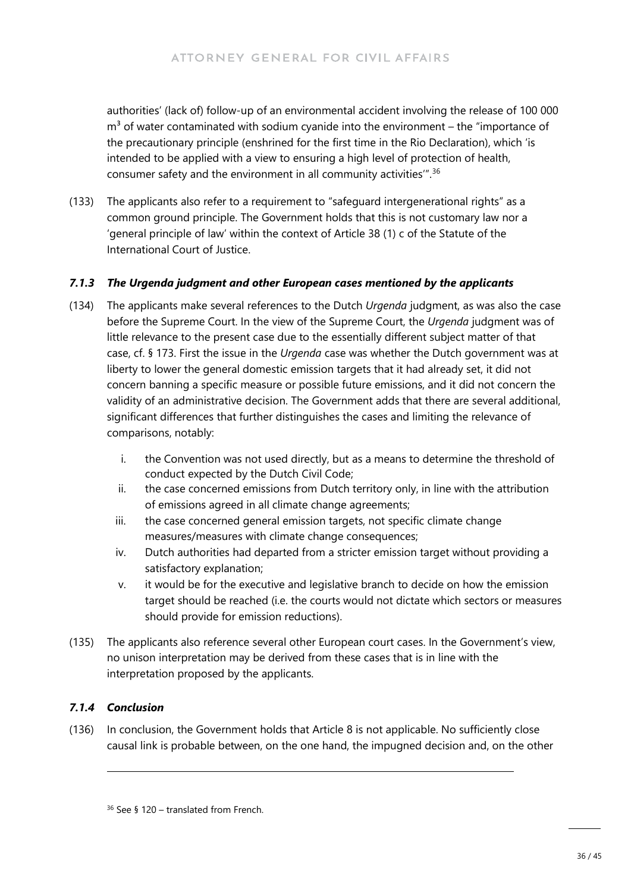authorities' (lack of) follow-up of an environmental accident involving the release of 100 000  $m<sup>3</sup>$  of water contaminated with sodium cyanide into the environment – the "importance of the precautionary principle (enshrined for the first time in the Rio Declaration), which 'is intended to be applied with a view to ensuring a high level of protection of health, consumer safety and the environment in all community activities'". [36](#page-35-0)

(133) The applicants also refer to a requirement to "safeguard intergenerational rights" as a common ground principle. The Government holds that this is not customary law nor a 'general principle of law' within the context of Article 38 (1) c of the Statute of the International Court of Justice.

#### *7.1.3 The Urgenda judgment and other European cases mentioned by the applicants*

- (134) The applicants make several references to the Dutch *Urgenda* judgment, as was also the case before the Supreme Court. In the view of the Supreme Court, the *Urgenda* judgment was of little relevance to the present case due to the essentially different subject matter of that case, cf. § 173. First the issue in the *Urgenda* case was whether the Dutch government was at liberty to lower the general domestic emission targets that it had already set, it did not concern banning a specific measure or possible future emissions, and it did not concern the validity of an administrative decision. The Government adds that there are several additional, significant differences that further distinguishes the cases and limiting the relevance of comparisons, notably:
	- i. the Convention was not used directly, but as a means to determine the threshold of conduct expected by the Dutch Civil Code;
	- ii. the case concerned emissions from Dutch territory only, in line with the attribution of emissions agreed in all climate change agreements;
	- iii. the case concerned general emission targets, not specific climate change measures/measures with climate change consequences;
	- iv. Dutch authorities had departed from a stricter emission target without providing a satisfactory explanation;
	- v. it would be for the executive and legislative branch to decide on how the emission target should be reached (i.e. the courts would not dictate which sectors or measures should provide for emission reductions).
- (135) The applicants also reference several other European court cases. In the Government's view, no unison interpretation may be derived from these cases that is in line with the interpretation proposed by the applicants.

#### *7.1.4 Conclusion*

<span id="page-35-0"></span>(136) In conclusion, the Government holds that Article 8 is not applicable. No sufficiently close causal link is probable between, on the one hand, the impugned decision and, on the other

<sup>36</sup> See § 120 – translated from French.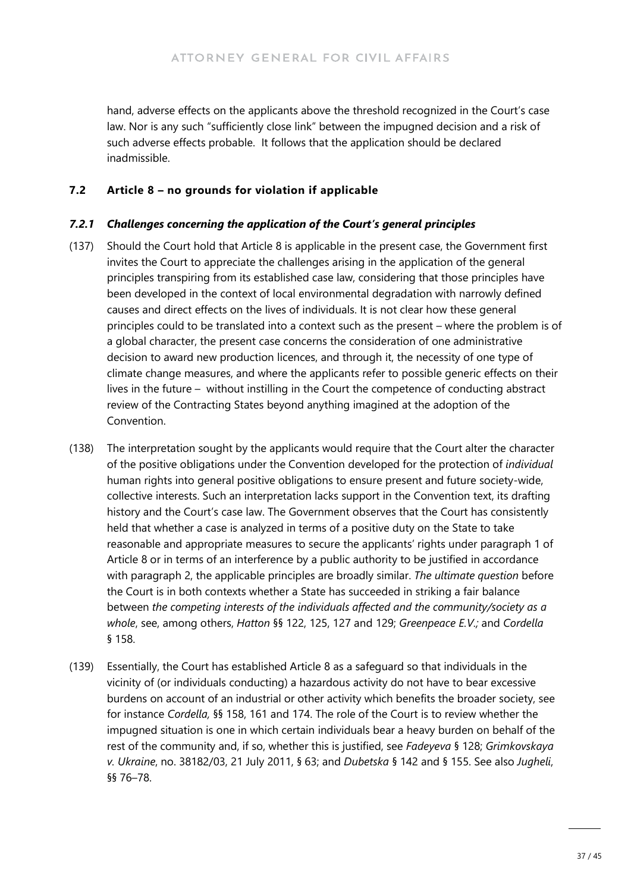hand, adverse effects on the applicants above the threshold recognized in the Court's case law. Nor is any such "sufficiently close link" between the impugned decision and a risk of such adverse effects probable. It follows that the application should be declared inadmissible.

### **7.2 Article 8 – no grounds for violation if applicable**

#### *7.2.1 Challenges concerning the application of the Court's general principles*

- (137) Should the Court hold that Article 8 is applicable in the present case, the Government first invites the Court to appreciate the challenges arising in the application of the general principles transpiring from its established case law, considering that those principles have been developed in the context of local environmental degradation with narrowly defined causes and direct effects on the lives of individuals. It is not clear how these general principles could to be translated into a context such as the present – where the problem is of a global character, the present case concerns the consideration of one administrative decision to award new production licences, and through it, the necessity of one type of climate change measures, and where the applicants refer to possible generic effects on their lives in the future – without instilling in the Court the competence of conducting abstract review of the Contracting States beyond anything imagined at the adoption of the Convention.
- (138) The interpretation sought by the applicants would require that the Court alter the character of the positive obligations under the Convention developed for the protection of *individual* human rights into general positive obligations to ensure present and future society-wide, collective interests. Such an interpretation lacks support in the Convention text, its drafting history and the Court's case law. The Government observes that the Court has consistently held that whether a case is analyzed in terms of a positive duty on the State to take reasonable and appropriate measures to secure the applicants' rights under paragraph 1 of Article 8 or in terms of an interference by a public authority to be justified in accordance with paragraph 2, the applicable principles are broadly similar. *The ultimate question* before the Court is in both contexts whether a State has succeeded in striking a fair balance between *the competing interests of the individuals affected and the community/society as a whole*, see, among others, *Hatton* §§ 122, 125, 127 and 129; *Greenpeace E.V.;* and *Cordella*  § 158.
- (139) Essentially, the Court has established Article 8 as a safeguard so that individuals in the vicinity of (or individuals conducting) a hazardous activity do not have to bear excessive burdens on account of an industrial or other activity which benefits the broader society, see for instance *Cordella,* §§ 158, 161 and 174. The role of the Court is to review whether the impugned situation is one in which certain individuals bear a heavy burden on behalf of the rest of the community and, if so, whether this is justified, see *Fadeyeva* § 128; *Grimkovskaya v. Ukraine*, no. 38182/03, 21 July 2011, § 63; and *Dubetska* § 142 and § 155. See also *Jugheli*, §§ 76–78.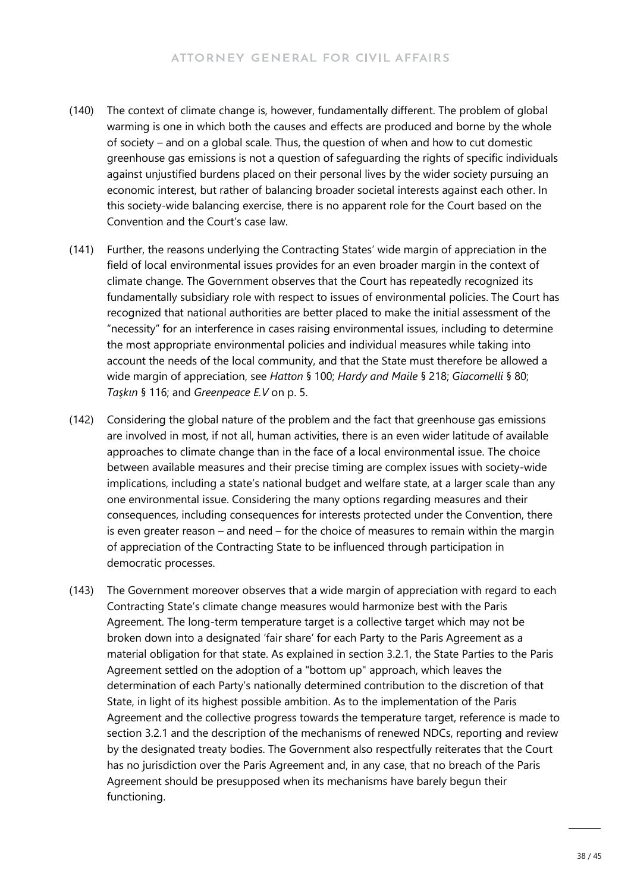- (140) The context of climate change is, however, fundamentally different. The problem of global warming is one in which both the causes and effects are produced and borne by the whole of society – and on a global scale. Thus, the question of when and how to cut domestic greenhouse gas emissions is not a question of safeguarding the rights of specific individuals against unjustified burdens placed on their personal lives by the wider society pursuing an economic interest, but rather of balancing broader societal interests against each other. In this society-wide balancing exercise, there is no apparent role for the Court based on the Convention and the Court's case law.
- (141) Further, the reasons underlying the Contracting States' wide margin of appreciation in the field of local environmental issues provides for an even broader margin in the context of climate change. The Government observes that the Court has repeatedly recognized its fundamentally subsidiary role with respect to issues of environmental policies. The Court has recognized that national authorities are better placed to make the initial assessment of the "necessity" for an interference in cases raising environmental issues, including to determine the most appropriate environmental policies and individual measures while taking into account the needs of the local community, and that the State must therefore be allowed a wide margin of appreciation, see *Hatton* § 100; *Hardy and Maile* § 218; *Giacomelli* § 80; *Taşkın* § 116; and *Greenpeace E.V* on p. 5.
- (142) Considering the global nature of the problem and the fact that greenhouse gas emissions are involved in most, if not all, human activities, there is an even wider latitude of available approaches to climate change than in the face of a local environmental issue. The choice between available measures and their precise timing are complex issues with society-wide implications, including a state's national budget and welfare state, at a larger scale than any one environmental issue. Considering the many options regarding measures and their consequences, including consequences for interests protected under the Convention, there is even greater reason – and need – for the choice of measures to remain within the margin of appreciation of the Contracting State to be influenced through participation in democratic processes.
- (143) The Government moreover observes that a wide margin of appreciation with regard to each Contracting State's climate change measures would harmonize best with the Paris Agreement. The long-term temperature target is a collective target which may not be broken down into a designated 'fair share' for each Party to the Paris Agreement as a material obligation for that state. As explained in section 3.2.1, the State Parties to the Paris Agreement settled on the adoption of a "bottom up" approach, which leaves the determination of each Party's nationally determined contribution to the discretion of that State, in light of its highest possible ambition. As to the implementation of the Paris Agreement and the collective progress towards the temperature target, reference is made to section 3.2.1 and the description of the mechanisms of renewed NDCs, reporting and review by the designated treaty bodies. The Government also respectfully reiterates that the Court has no jurisdiction over the Paris Agreement and, in any case, that no breach of the Paris Agreement should be presupposed when its mechanisms have barely begun their functioning.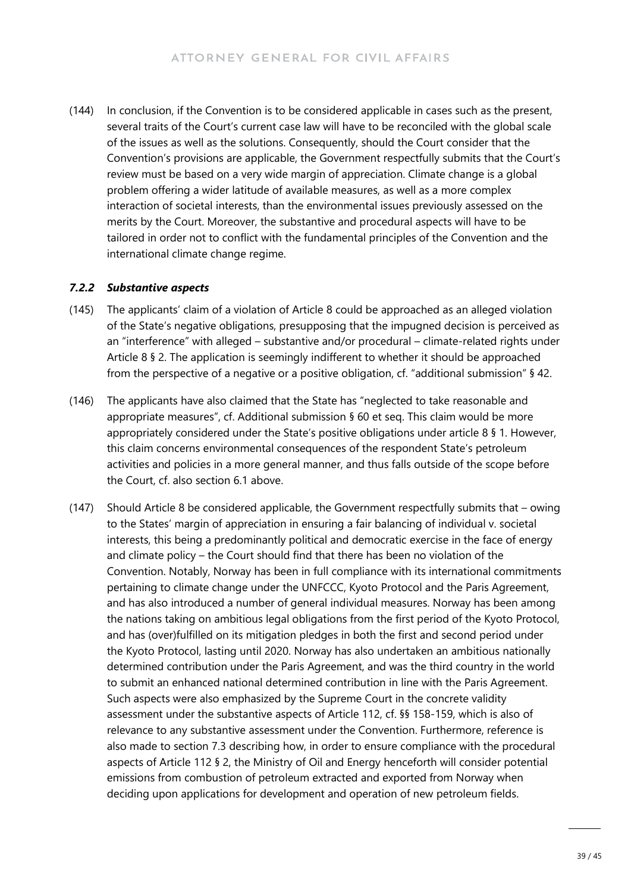(144) In conclusion, if the Convention is to be considered applicable in cases such as the present, several traits of the Court's current case law will have to be reconciled with the global scale of the issues as well as the solutions. Consequently, should the Court consider that the Convention's provisions are applicable, the Government respectfully submits that the Court's review must be based on a very wide margin of appreciation. Climate change is a global problem offering a wider latitude of available measures, as well as a more complex interaction of societal interests, than the environmental issues previously assessed on the merits by the Court. Moreover, the substantive and procedural aspects will have to be tailored in order not to conflict with the fundamental principles of the Convention and the international climate change regime.

#### *7.2.2 Substantive aspects*

- (145) The applicants' claim of a violation of Article 8 could be approached as an alleged violation of the State's negative obligations, presupposing that the impugned decision is perceived as an "interference" with alleged – substantive and/or procedural – climate-related rights under Article 8 § 2. The application is seemingly indifferent to whether it should be approached from the perspective of a negative or a positive obligation, cf. "additional submission" § 42.
- (146) The applicants have also claimed that the State has "neglected to take reasonable and appropriate measures", cf. Additional submission § 60 et seq. This claim would be more appropriately considered under the State's positive obligations under article 8 § 1. However, this claim concerns environmental consequences of the respondent State's petroleum activities and policies in a more general manner, and thus falls outside of the scope before the Court, cf. also section 6.1 above.
- (147) Should Article 8 be considered applicable, the Government respectfully submits that owing to the States' margin of appreciation in ensuring a fair balancing of individual v. societal interests, this being a predominantly political and democratic exercise in the face of energy and climate policy – the Court should find that there has been no violation of the Convention. Notably, Norway has been in full compliance with its international commitments pertaining to climate change under the UNFCCC, Kyoto Protocol and the Paris Agreement, and has also introduced a number of general individual measures. Norway has been among the nations taking on ambitious legal obligations from the first period of the Kyoto Protocol, and has (over)fulfilled on its mitigation pledges in both the first and second period under the Kyoto Protocol, lasting until 2020. Norway has also undertaken an ambitious nationally determined contribution under the Paris Agreement, and was the third country in the world to submit an enhanced national determined contribution in line with the Paris Agreement. Such aspects were also emphasized by the Supreme Court in the concrete validity assessment under the substantive aspects of Article 112, cf. §§ 158-159, which is also of relevance to any substantive assessment under the Convention. Furthermore, reference is also made to section 7.3 describing how, in order to ensure compliance with the procedural aspects of Article 112 § 2, the Ministry of Oil and Energy henceforth will consider potential emissions from combustion of petroleum extracted and exported from Norway when deciding upon applications for development and operation of new petroleum fields.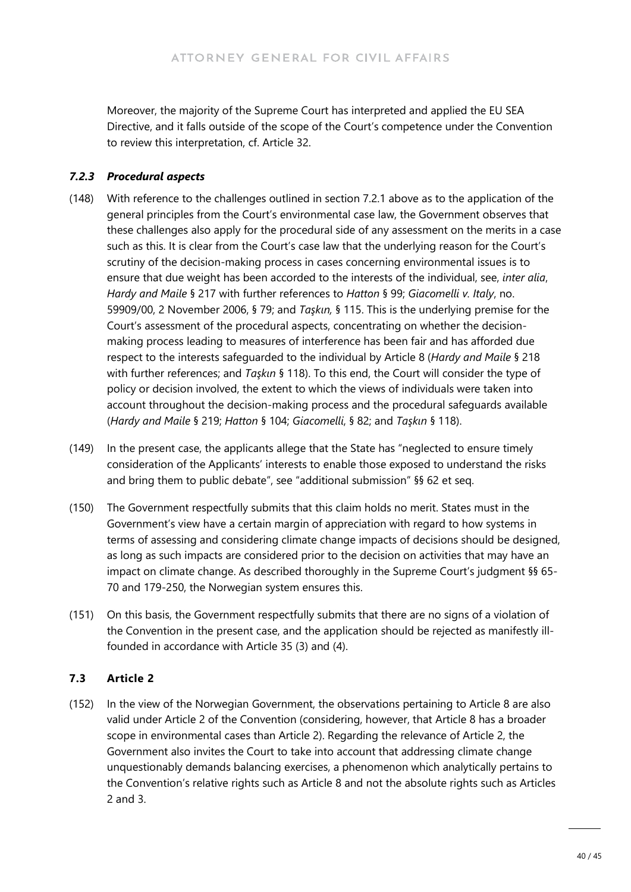Moreover, the majority of the Supreme Court has interpreted and applied the EU SEA Directive, and it falls outside of the scope of the Court's competence under the Convention to review this interpretation, cf. Article 32.

#### *7.2.3 Procedural aspects*

- (148) With reference to the challenges outlined in section 7.2.1 above as to the application of the general principles from the Court's environmental case law, the Government observes that these challenges also apply for the procedural side of any assessment on the merits in a case such as this. It is clear from the Court's case law that the underlying reason for the Court's scrutiny of the decision-making process in cases concerning environmental issues is to ensure that due weight has been accorded to the interests of the individual, see, *inter alia*, *Hardy and Maile* § 217 with further references to *Hatton* § 99; *Giacomelli v. Italy*, no. 59909/00, 2 November 2006, § 79; and *Taşkın,* § 115. This is the underlying premise for the Court's assessment of the procedural aspects, concentrating on whether the decisionmaking process leading to measures of interference has been fair and has afforded due respect to the interests safeguarded to the individual by Article 8 (*Hardy and Maile* § 218 with further references; and *Taşkın* § 118). To this end, the Court will consider the type of policy or decision involved, the extent to which the views of individuals were taken into account throughout the decision-making process and the procedural safeguards available (*Hardy and Maile* § 219; *Hatton* § 104; *Giacomelli*, § 82; and *Taşkın* § 118).
- (149) In the present case, the applicants allege that the State has "neglected to ensure timely consideration of the Applicants' interests to enable those exposed to understand the risks and bring them to public debate", see "additional submission" §§ 62 et seq.
- (150) The Government respectfully submits that this claim holds no merit. States must in the Government's view have a certain margin of appreciation with regard to how systems in terms of assessing and considering climate change impacts of decisions should be designed, as long as such impacts are considered prior to the decision on activities that may have an impact on climate change. As described thoroughly in the Supreme Court's judgment §§ 65- 70 and 179-250, the Norwegian system ensures this.
- (151) On this basis, the Government respectfully submits that there are no signs of a violation of the Convention in the present case, and the application should be rejected as manifestly illfounded in accordance with Article 35 (3) and (4).

### **7.3 Article 2**

(152) In the view of the Norwegian Government, the observations pertaining to Article 8 are also valid under Article 2 of the Convention (considering, however, that Article 8 has a broader scope in environmental cases than Article 2). Regarding the relevance of Article 2, the Government also invites the Court to take into account that addressing climate change unquestionably demands balancing exercises, a phenomenon which analytically pertains to the Convention's relative rights such as Article 8 and not the absolute rights such as Articles 2 and 3.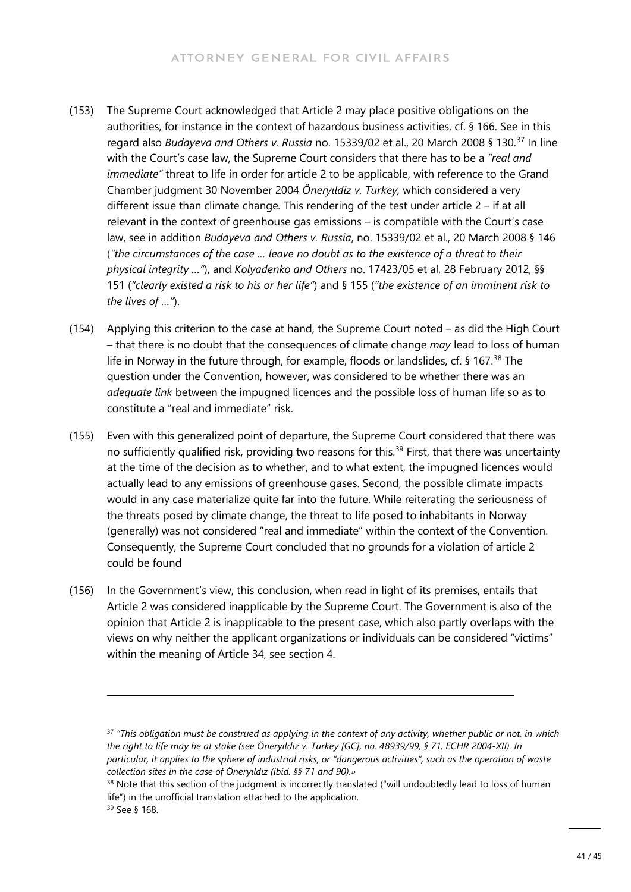- (153) The Supreme Court acknowledged that Article 2 may place positive obligations on the authorities, for instance in the context of hazardous business activities, cf. § 166. See in this regard also *Budayeva and Others v. Russia* no. 15339/02 et al., 20 March 2008 § 130.[37](#page-40-0) In line with the Court's case law, the Supreme Court considers that there has to be a *"real and immediate"* threat to life in order for article 2 to be applicable, with reference to the Grand Chamber judgment 30 November 2004 *Öneryıldiz v. Turkey,* which considered a very different issue than climate change*.* This rendering of the test under article 2 – if at all relevant in the context of greenhouse gas emissions – is compatible with the Court's case law, see in addition *Budayeva and Others v. Russia*, no. 15339/02 et al., 20 March 2008 § 146 (*"the circumstances of the case … leave no doubt as to the existence of a threat to their physical integrity …"*), and *Kolyadenko and Others* no. 17423/05 et al, 28 February 2012, §§ 151 (*"clearly existed a risk to his or her life"*) and § 155 (*"the existence of an imminent risk to the lives of …"*).
- (154) Applying this criterion to the case at hand, the Supreme Court noted as did the High Court – that there is no doubt that the consequences of climate change *may* lead to loss of human life in Norway in the future through, for example, floods or landslides, cf. § 167.<sup>[38](#page-40-1)</sup> The question under the Convention, however, was considered to be whether there was an *adequate link* between the impugned licences and the possible loss of human life so as to constitute a "real and immediate" risk.
- (155) Even with this generalized point of departure, the Supreme Court considered that there was no sufficiently qualified risk, providing two reasons for this.<sup>[39](#page-40-2)</sup> First, that there was uncertainty at the time of the decision as to whether, and to what extent, the impugned licences would actually lead to any emissions of greenhouse gases. Second, the possible climate impacts would in any case materialize quite far into the future. While reiterating the seriousness of the threats posed by climate change, the threat to life posed to inhabitants in Norway (generally) was not considered "real and immediate" within the context of the Convention. Consequently, the Supreme Court concluded that no grounds for a violation of article 2 could be found
- (156) In the Government's view, this conclusion, when read in light of its premises, entails that Article 2 was considered inapplicable by the Supreme Court. The Government is also of the opinion that Article 2 is inapplicable to the present case, which also partly overlaps with the views on why neither the applicant organizations or individuals can be considered "victims" within the meaning of Article 34, see section 4.

<span id="page-40-0"></span><sup>37</sup> *"This obligation must be construed as applying in the context of any activity, whether public or not, in which the right to life may be at stake (see Öneryıldız v. Turkey [GC], no. 48939/99, § 71, ECHR 2004-XII). In particular, it applies to the sphere of industrial risks, or "dangerous activities", such as the operation of waste collection sites in the case of Öneryıldız (ibid. §§ 71 and 90).»*

<span id="page-40-2"></span><span id="page-40-1"></span><sup>&</sup>lt;sup>38</sup> Note that this section of the judgment is incorrectly translated ("will undoubtedly lead to loss of human life") in the unofficial translation attached to the application. <sup>39</sup> See § 168.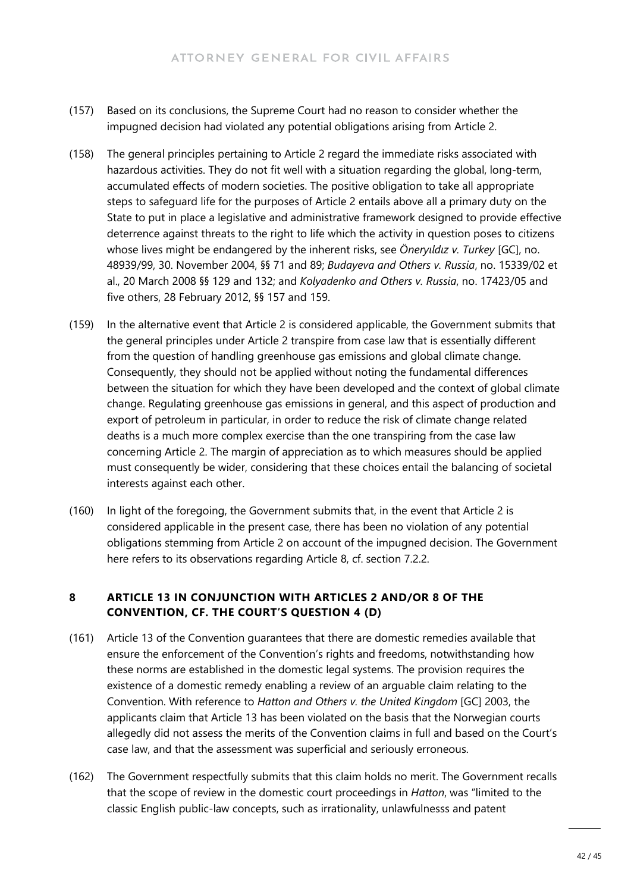- (157) Based on its conclusions, the Supreme Court had no reason to consider whether the impugned decision had violated any potential obligations arising from Article 2.
- (158) The general principles pertaining to Article 2 regard the immediate risks associated with hazardous activities. They do not fit well with a situation regarding the global, long-term, accumulated effects of modern societies. The positive obligation to take all appropriate steps to safeguard life for the purposes of Article 2 entails above all a primary duty on the State to put in place a legislative and administrative framework designed to provide effective deterrence against threats to the right to life which the activity in question poses to citizens whose lives might be endangered by the inherent risks, see *Öneryıldız v. Turkey* [GC], no. 48939/99, 30. November 2004, §§ 71 and 89; *Budayeva and Others v. Russia*, no. 15339/02 et al., 20 March 2008 §§ 129 and 132; and *Kolyadenko and Others v. Russia*, no. 17423/05 and five others, 28 February 2012, §§ 157 and 159.
- (159) In the alternative event that Article 2 is considered applicable, the Government submits that the general principles under Article 2 transpire from case law that is essentially different from the question of handling greenhouse gas emissions and global climate change. Consequently, they should not be applied without noting the fundamental differences between the situation for which they have been developed and the context of global climate change. Regulating greenhouse gas emissions in general, and this aspect of production and export of petroleum in particular, in order to reduce the risk of climate change related deaths is a much more complex exercise than the one transpiring from the case law concerning Article 2. The margin of appreciation as to which measures should be applied must consequently be wider, considering that these choices entail the balancing of societal interests against each other.
- (160) In light of the foregoing, the Government submits that, in the event that Article 2 is considered applicable in the present case, there has been no violation of any potential obligations stemming from Article 2 on account of the impugned decision. The Government here refers to its observations regarding Article 8, cf. section 7.2.2.

#### **8 ARTICLE 13 IN CONJUNCTION WITH ARTICLES 2 AND/OR 8 OF THE CONVENTION, CF. THE COURT'S QUESTION 4 (D)**

- (161) Article 13 of the Convention guarantees that there are domestic remedies available that ensure the enforcement of the Convention's rights and freedoms, notwithstanding how these norms are established in the domestic legal systems. The provision requires the existence of a domestic remedy enabling a review of an arguable claim relating to the Convention. With reference to *Hatton and Others v. the United Kingdom* [GC] 2003, the applicants claim that Article 13 has been violated on the basis that the Norwegian courts allegedly did not assess the merits of the Convention claims in full and based on the Court's case law, and that the assessment was superficial and seriously erroneous.
- (162) The Government respectfully submits that this claim holds no merit. The Government recalls that the scope of review in the domestic court proceedings in *Hatton*, was "limited to the classic English public-law concepts, such as irrationality, unlawfulnesss and patent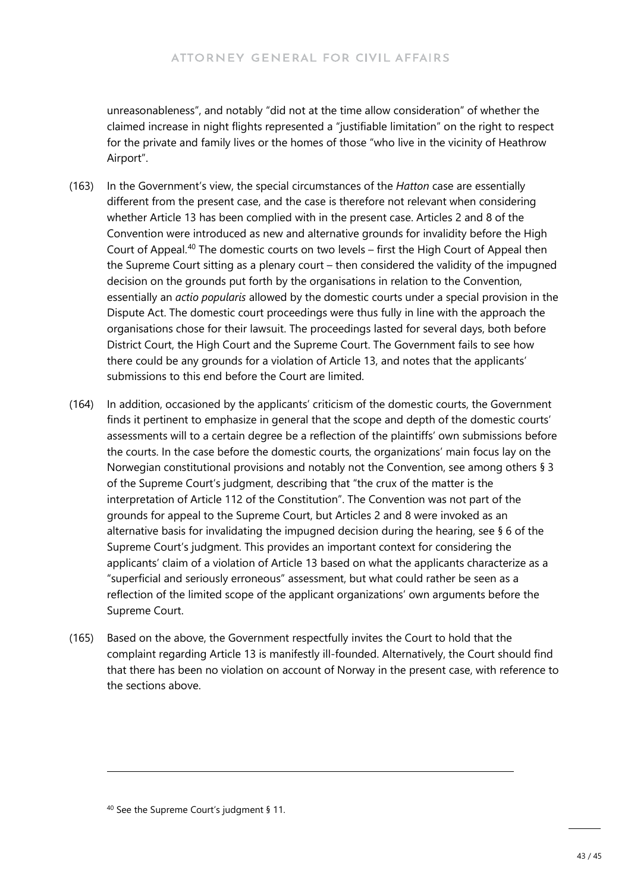unreasonableness", and notably "did not at the time allow consideration" of whether the claimed increase in night flights represented a "justifiable limitation" on the right to respect for the private and family lives or the homes of those "who live in the vicinity of Heathrow Airport".

- (163) In the Government's view, the special circumstances of the *Hatton* case are essentially different from the present case, and the case is therefore not relevant when considering whether Article 13 has been complied with in the present case. Articles 2 and 8 of the Convention were introduced as new and alternative grounds for invalidity before the High Court of Appeal.[40](#page-42-0) The domestic courts on two levels – first the High Court of Appeal then the Supreme Court sitting as a plenary court – then considered the validity of the impugned decision on the grounds put forth by the organisations in relation to the Convention, essentially an *actio popularis* allowed by the domestic courts under a special provision in the Dispute Act. The domestic court proceedings were thus fully in line with the approach the organisations chose for their lawsuit. The proceedings lasted for several days, both before District Court, the High Court and the Supreme Court. The Government fails to see how there could be any grounds for a violation of Article 13, and notes that the applicants' submissions to this end before the Court are limited.
- (164) In addition, occasioned by the applicants' criticism of the domestic courts, the Government finds it pertinent to emphasize in general that the scope and depth of the domestic courts' assessments will to a certain degree be a reflection of the plaintiffs' own submissions before the courts. In the case before the domestic courts, the organizations' main focus lay on the Norwegian constitutional provisions and notably not the Convention, see among others § 3 of the Supreme Court's judgment, describing that "the crux of the matter is the interpretation of Article 112 of the Constitution". The Convention was not part of the grounds for appeal to the Supreme Court, but Articles 2 and 8 were invoked as an alternative basis for invalidating the impugned decision during the hearing, see § 6 of the Supreme Court's judgment. This provides an important context for considering the applicants' claim of a violation of Article 13 based on what the applicants characterize as a "superficial and seriously erroneous" assessment, but what could rather be seen as a reflection of the limited scope of the applicant organizations' own arguments before the Supreme Court.
- (165) Based on the above, the Government respectfully invites the Court to hold that the complaint regarding Article 13 is manifestly ill-founded. Alternatively, the Court should find that there has been no violation on account of Norway in the present case, with reference to the sections above.

<span id="page-42-0"></span><sup>40</sup> See the Supreme Court's judgment § 11.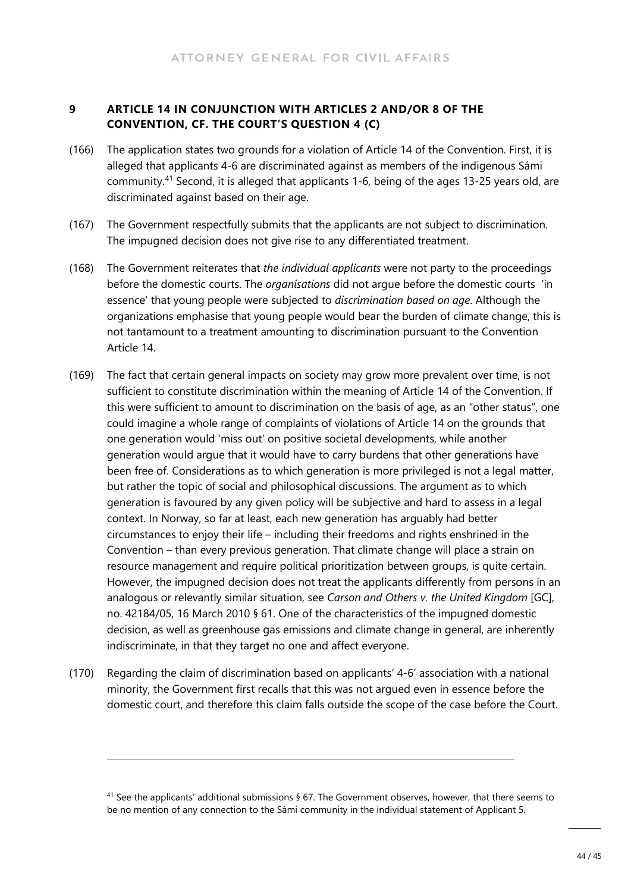#### **9 ARTICLE 14 IN CONJUNCTION WITH ARTICLES 2 AND/OR 8 OF THE CONVENTION, CF. THE COURT'S QUESTION 4 (C)**

- (166) The application states two grounds for a violation of Article 14 of the Convention. First, it is alleged that applicants 4-6 are discriminated against as members of the indigenous Sámi community.[41](#page-43-0) Second, it is alleged that applicants 1-6, being of the ages 13-25 years old, are discriminated against based on their age.
- (167) The Government respectfully submits that the applicants are not subject to discrimination. The impugned decision does not give rise to any differentiated treatment.
- (168) The Government reiterates that *the individual applicants* were not party to the proceedings before the domestic courts. The *organisations* did not argue before the domestic courts 'in essence' that young people were subjected to *discrimination based on age*. Although the organizations emphasise that young people would bear the burden of climate change, this is not tantamount to a treatment amounting to discrimination pursuant to the Convention Article 14.
- (169) The fact that certain general impacts on society may grow more prevalent over time, is not sufficient to constitute discrimination within the meaning of Article 14 of the Convention. If this were sufficient to amount to discrimination on the basis of age, as an "other status", one could imagine a whole range of complaints of violations of Article 14 on the grounds that one generation would 'miss out' on positive societal developments, while another generation would argue that it would have to carry burdens that other generations have been free of. Considerations as to which generation is more privileged is not a legal matter, but rather the topic of social and philosophical discussions. The argument as to which generation is favoured by any given policy will be subjective and hard to assess in a legal context. In Norway, so far at least, each new generation has arguably had better circumstances to enjoy their life – including their freedoms and rights enshrined in the Convention – than every previous generation. That climate change will place a strain on resource management and require political prioritization between groups, is quite certain. However, the impugned decision does not treat the applicants differently from persons in an analogous or relevantly similar situation, see *Carson and Others v. the United Kingdom* [GC], no. 42184/05, 16 March 2010 § 61. One of the characteristics of the impugned domestic decision, as well as greenhouse gas emissions and climate change in general, are inherently indiscriminate, in that they target no one and affect everyone.
- (170) Regarding the claim of discrimination based on applicants' 4-6' association with a national minority, the Government first recalls that this was not argued even in essence before the domestic court, and therefore this claim falls outside the scope of the case before the Court.

<span id="page-43-0"></span><sup>41</sup> See the applicants' additional submissions § 67. The Government observes, however, that there seems to be no mention of any connection to the Sámi community in the individual statement of Applicant 5.